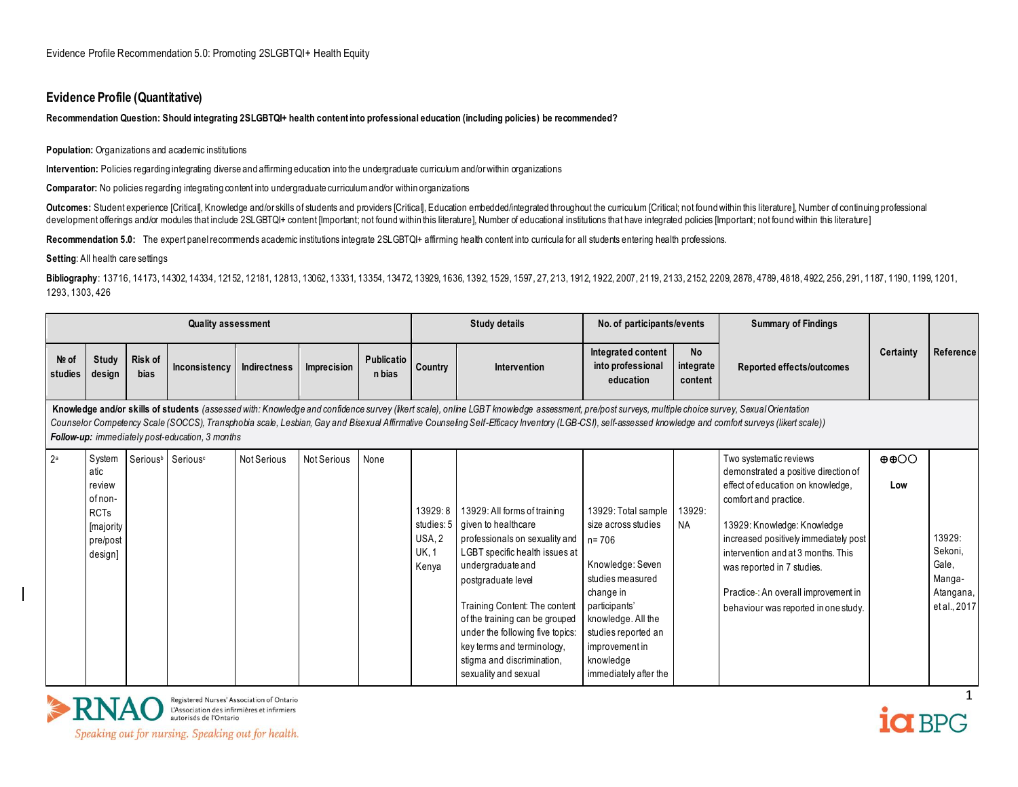#### **Evidence Profile (Quantitative)**

#### **Recommendation Question: Should integrating 2SLGBTQI+ health content into professional education (including policies) be recommended?**

#### **Population:** Organizations and academic institutions

**Intervention:** Policies regarding integrating diverse and affirming education into the undergraduate curriculum and/or within organizations

**Comparator:** No policies regarding integrating content into undergraduate curriculum and/or within organizations

Outcomes: Student experience [Critical], Knowledge and/orskills of students and providers [Critical], Education embedded/integrated throughout the curriculum [Critical; not found within this literature], Number of continui development offerings and/or modules that include 2SLGBTQI+ content [Important; not found within this literature], Number of educational institutions that have integrated policies [Important; not found within this literatu

Recommendation 5.0: The expert panel recommends academic institutions integrate 2SLGBTQI+ affirming health content into curricula for all students entering health professions.

**Setting**: All health care settings

Bibliography: 13716, 14173, 14302, 14334, 12152, 12181, 12813, 13062, 13331, 13354, 13472, 13929, 1636, 1392, 1536, 1597, 27, 213, 1912, 1922, 2007, 2119, 2133, 2152, 2209, 2878, 4789, 4818, 4922, 256, 291, 1187, 1190, 119 1293, 1303, 426

|                  |                                                                                        |                 | <b>Quality assessment</b>                       |                    |                    |                      |                                                          | <b>Study details</b>                                                                                                                                                                                                                                                                                                                                                                                        | No. of participants/events                                                                                                                                                                                                      |                            | <b>Summary of Findings</b>                                                                                                                                                                                                                                                                                                                               |                          |                                                                   |
|------------------|----------------------------------------------------------------------------------------|-----------------|-------------------------------------------------|--------------------|--------------------|----------------------|----------------------------------------------------------|-------------------------------------------------------------------------------------------------------------------------------------------------------------------------------------------------------------------------------------------------------------------------------------------------------------------------------------------------------------------------------------------------------------|---------------------------------------------------------------------------------------------------------------------------------------------------------------------------------------------------------------------------------|----------------------------|----------------------------------------------------------------------------------------------------------------------------------------------------------------------------------------------------------------------------------------------------------------------------------------------------------------------------------------------------------|--------------------------|-------------------------------------------------------------------|
| Nº of<br>studies | Study<br>design                                                                        | Risk of<br>bias | Inconsistency                                   | Indirectness       | Imprecision        | Publicatio<br>n bias | Country                                                  | Intervention                                                                                                                                                                                                                                                                                                                                                                                                | Integrated content<br>into professional<br>education                                                                                                                                                                            | No<br>integrate<br>content | Reported effects/outcomes                                                                                                                                                                                                                                                                                                                                | Certainty                | Reference                                                         |
|                  |                                                                                        |                 | Follow-up: immediately post-education, 3 months |                    |                    |                      |                                                          | Knowledge and/or skills of students (assessed with: Knowledge and confidence survey (Ikert scale), online LGBT knowledge assessment, pre/post surveys, multiple choice survey, Sexual Orientation<br>Counselor Competency Scale (SOCCS), Transphobia scale, Lesbian, Gay and Bisexual Affirmative Counseling Self-Efficacy Inventory (LGB-CSI), self-assessed knowledge and comfort surveys (likert scale)) |                                                                                                                                                                                                                                 |                            |                                                                                                                                                                                                                                                                                                                                                          |                          |                                                                   |
| 2 <sup>a</sup>   | System<br>atic<br>review<br>of non-<br><b>RCTs</b><br>[majority<br>pre/post<br>design] |                 | Serious <sup>b</sup> Serious <sup>c</sup>       | <b>Not Serious</b> | <b>Not Serious</b> | None                 | 13929:8<br>studies: 5<br>USA, 2<br><b>UK, 1</b><br>Kenya | 13929: All forms of training<br>given to healthcare<br>professionals on sexuality and<br>LGBT specific health issues at<br>undergraduate and<br>postgraduate level<br>Training Content: The content<br>of the training can be grouped<br>under the following five topics:<br>key terms and terminology,<br>stigma and discrimination,<br>sexuality and sexual                                               | 13929: Total sample<br>size across studies<br>n= 706<br>Knowledge: Seven<br>studies measured<br>change in<br>participants'<br>knowledge. All the<br>studies reported an<br>improvement in<br>knowledge<br>immediately after the | 13929:<br><b>NA</b>        | Two systematic reviews<br>demonstrated a positive direction of<br>effect of education on knowledge,<br>comfort and practice.<br>13929: Knowledge: Knowledge<br>increased positively immediately post<br>intervention and at 3 months. This<br>was reported in 7 studies.<br>Practice-: An overall improvement in<br>behaviour was reported in one study. | $\oplus$ $\oplus$<br>Low | 13929:<br>Sekoni,<br>Gale,<br>Manga-<br>Atangana,<br>et al., 2017 |



Registered Nurses' Association of Ontario<br>
L'Association des infirmières et infirmiers<br>
autorisés de l'Ontario

1 ia BPG

Speaking out for nursing. Speaking out for health.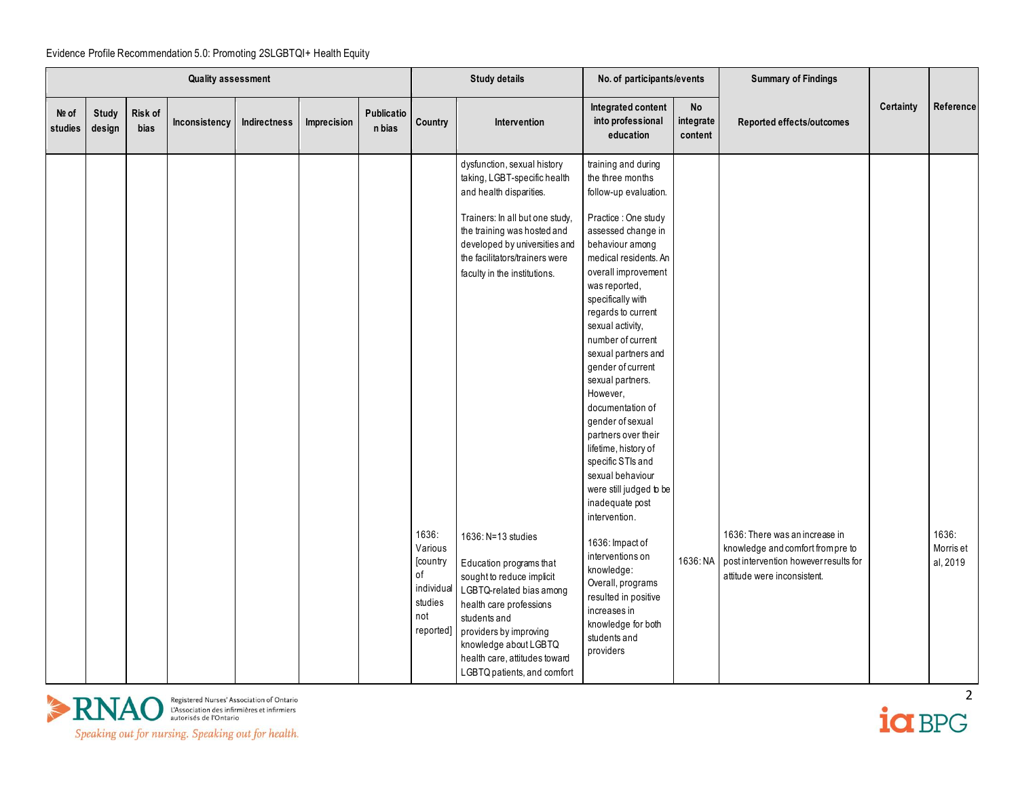|                  | Quality assessment     |                        |               |              |             |                      |                                                                                 | <b>Study details</b>                                                                                                                                                                                                                                                                                                                                                                                                                                                                                                                | No. of participants/events                                                                                                                                                                                                                                                                                                                                                                                                                                                                                                                                                                                                                                                                                                             |                            | <b>Summary of Findings</b>                                                                                                                  |           |                                |
|------------------|------------------------|------------------------|---------------|--------------|-------------|----------------------|---------------------------------------------------------------------------------|-------------------------------------------------------------------------------------------------------------------------------------------------------------------------------------------------------------------------------------------------------------------------------------------------------------------------------------------------------------------------------------------------------------------------------------------------------------------------------------------------------------------------------------|----------------------------------------------------------------------------------------------------------------------------------------------------------------------------------------------------------------------------------------------------------------------------------------------------------------------------------------------------------------------------------------------------------------------------------------------------------------------------------------------------------------------------------------------------------------------------------------------------------------------------------------------------------------------------------------------------------------------------------------|----------------------------|---------------------------------------------------------------------------------------------------------------------------------------------|-----------|--------------------------------|
| Nº of<br>studies | <b>Study</b><br>design | Risk of<br><b>bias</b> | Inconsistency | Indirectness | Imprecision | Publicatio<br>n bias | Country                                                                         | <b>Intervention</b>                                                                                                                                                                                                                                                                                                                                                                                                                                                                                                                 | Integrated content<br>into professional<br>education                                                                                                                                                                                                                                                                                                                                                                                                                                                                                                                                                                                                                                                                                   | No<br>integrate<br>content | Reported effects/outcomes                                                                                                                   | Certainty | Reference                      |
|                  |                        |                        |               |              |             |                      | 1636:<br>Various<br>[country<br>of<br>individual<br>studies<br>not<br>reported] | dysfunction, sexual history<br>taking, LGBT-specific health<br>and health disparities.<br>Trainers: In all but one study,<br>the training was hosted and<br>developed by universities and<br>the facilitators/trainers were<br>faculty in the institutions.<br>1636: N=13 studies<br>Education programs that<br>sought to reduce implicit<br>LGBTQ-related bias among<br>health care professions<br>students and<br>providers by improving<br>knowledge about LGBTQ<br>health care, attitudes toward<br>LGBTQ patients, and comfort | training and during<br>the three months<br>follow-up evaluation.<br>Practice : One study<br>assessed change in<br>behaviour among<br>medical residents. An<br>overall improvement<br>was reported,<br>specifically with<br>regards to current<br>sexual activity,<br>number of current<br>sexual partners and<br>gender of current<br>sexual partners.<br>However,<br>documentation of<br>gender of sexual<br>partners over their<br>lifetime, history of<br>specific STIs and<br>sexual behaviour<br>were still judged to be<br>inadequate post<br>intervention.<br>1636: Impact of<br>interventions on<br>knowledge:<br>Overall, programs<br>resulted in positive<br>increases in<br>knowledge for both<br>students and<br>providers | 1636: NA                   | 1636: There was an increase in<br>knowledge and comfort from pre to<br>post intervention however results for<br>attitude were inconsistent. |           | 1636:<br>Morris et<br>al, 2019 |



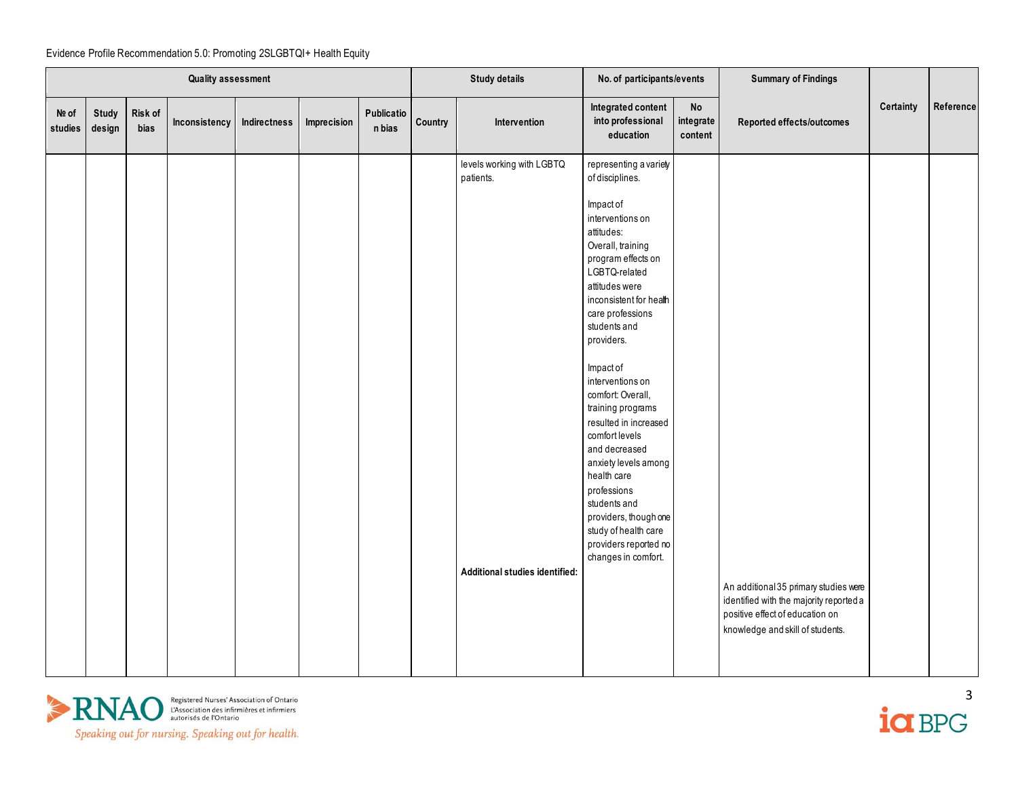|                  | Quality assessment |                 |               |              |             |                      |         | <b>Study details</b>                                                     | No. of participants/events                                                                                                                                                                                                                                                                                                                                                                                                                                                                                                                                        |                            | <b>Summary of Findings</b>                                                                                                                              |           |           |
|------------------|--------------------|-----------------|---------------|--------------|-------------|----------------------|---------|--------------------------------------------------------------------------|-------------------------------------------------------------------------------------------------------------------------------------------------------------------------------------------------------------------------------------------------------------------------------------------------------------------------------------------------------------------------------------------------------------------------------------------------------------------------------------------------------------------------------------------------------------------|----------------------------|---------------------------------------------------------------------------------------------------------------------------------------------------------|-----------|-----------|
| Nº of<br>studies | Study<br>design    | Risk of<br>bias | Inconsistency | Indirectness | Imprecision | Publicatio<br>n bias | Country | Intervention                                                             | Integrated content<br>into professional<br>education                                                                                                                                                                                                                                                                                                                                                                                                                                                                                                              | No<br>integrate<br>content | Reported effects/outcomes                                                                                                                               | Certainty | Reference |
|                  |                    |                 |               |              |             |                      |         | levels working with LGBTQ<br>patients.<br>Additional studies identified: | representing a variety<br>of disciplines.<br>Impact of<br>interventions on<br>attitudes:<br>Overall, training<br>program effects on<br>LGBTQ-related<br>attitudes were<br>inconsistent for health<br>care professions<br>students and<br>providers.<br>Impact of<br>interventions on<br>comfort: Overall,<br>training programs<br>resulted in increased<br>comfort levels<br>and decreased<br>anxiety levels among<br>health care<br>professions<br>students and<br>providers, though one<br>study of health care<br>providers reported no<br>changes in comfort. |                            | An additional 35 primary studies were<br>identified with the majority reported a<br>positive effect of education on<br>knowledge and skill of students. |           |           |



ia BPG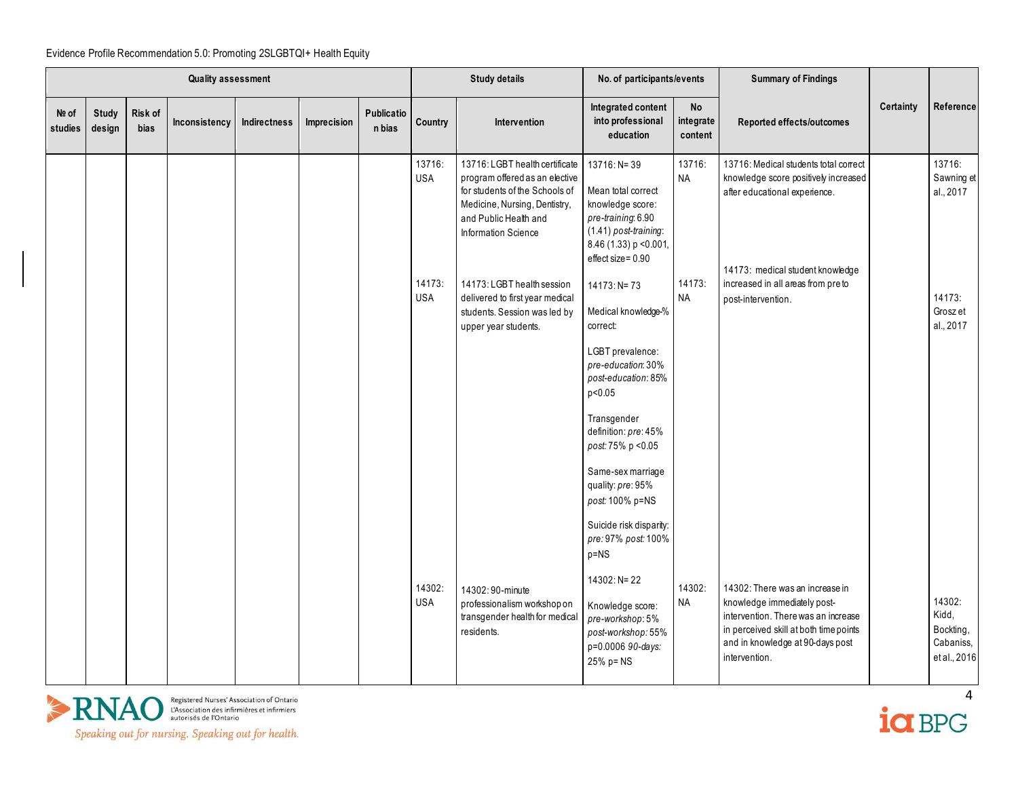|                  | <b>Quality assessment</b> |                 |               |                     |             |                      |                      | <b>Study details</b>                                                                                                                                                                | No. of participants/events                                                                                                                             |                            | <b>Summary of Findings</b>                                                                                                                                                                           |                  |                                                           |
|------------------|---------------------------|-----------------|---------------|---------------------|-------------|----------------------|----------------------|-------------------------------------------------------------------------------------------------------------------------------------------------------------------------------------|--------------------------------------------------------------------------------------------------------------------------------------------------------|----------------------------|------------------------------------------------------------------------------------------------------------------------------------------------------------------------------------------------------|------------------|-----------------------------------------------------------|
| Nº of<br>studies | Study<br>design           | Risk of<br>bias | Inconsistency | <b>Indirectness</b> | Imprecision | Publicatio<br>n bias | Country              | <b>Intervention</b>                                                                                                                                                                 | Integrated content<br>into professional<br>education                                                                                                   | No<br>integrate<br>content | Reported effects/outcomes                                                                                                                                                                            | <b>Certainty</b> | Reference                                                 |
|                  |                           |                 |               |                     |             |                      | 13716:<br><b>USA</b> | 13716: LGBT health certificate<br>program offered as an elective<br>for students of the Schools of<br>Medicine, Nursing, Dentistry,<br>and Public Health and<br>Information Science | $13716: N = 39$<br>Mean total correct<br>knowledge score:<br>pre-training 6.90<br>(1.41) post-training:<br>8.46 (1.33) p < 0.001,<br>effect size= 0.90 | 13716:<br><b>NA</b>        | 13716: Medical students total correct<br>knowledge score positively increased<br>after educational experience.<br>14173: medical student knowledge                                                   |                  | 13716:<br>Sawning et<br>al., 2017                         |
|                  |                           |                 |               |                     |             |                      | 14173:<br><b>USA</b> | 14173: LGBT health session<br>delivered to first year medical<br>students. Session was led by<br>upper year students.                                                               | $14173: N = 73$<br>Medical knowledge-%<br>correct:                                                                                                     | 14173:<br><b>NA</b>        | increased in all areas from pre to<br>post-intervention.                                                                                                                                             |                  | 14173:<br>Grosz et<br>al., 2017                           |
|                  |                           |                 |               |                     |             |                      |                      |                                                                                                                                                                                     | LGBT prevalence:<br>pre-education: 30%<br>post-education: 85%<br>p<0.05                                                                                |                            |                                                                                                                                                                                                      |                  |                                                           |
|                  |                           |                 |               |                     |             |                      |                      |                                                                                                                                                                                     | Transgender<br>definition: pre: 45%<br>post: 75% p < 0.05<br>Same-sex marriage                                                                         |                            |                                                                                                                                                                                                      |                  |                                                           |
|                  |                           |                 |               |                     |             |                      |                      |                                                                                                                                                                                     | quality: pre: 95%<br>post: 100% p=NS<br>Suicide risk disparity:                                                                                        |                            |                                                                                                                                                                                                      |                  |                                                           |
|                  |                           |                 |               |                     |             |                      |                      |                                                                                                                                                                                     | pre: 97% post: 100%<br>p=NS<br>$14302: N = 22$                                                                                                         |                            |                                                                                                                                                                                                      |                  |                                                           |
|                  |                           |                 |               |                     |             |                      | 14302:<br><b>USA</b> | 14302:90-minute<br>professionalism workshop on<br>transgender health for medical<br>residents.                                                                                      | Knowledge score:<br>pre-workshop: 5%<br>post-workshop: 55%<br>p=0.0006 90-days:<br>25% p= NS                                                           | 14302:<br><b>NA</b>        | 14302: There was an increase in<br>knowledge immediately post-<br>intervention. There was an increase<br>in perceived skill at both time points<br>and in knowledge at 90-days post<br>intervention. |                  | 14302:<br>Kidd,<br>Bockting,<br>Cabaniss,<br>et al., 2016 |



 $i\alpha$  BPG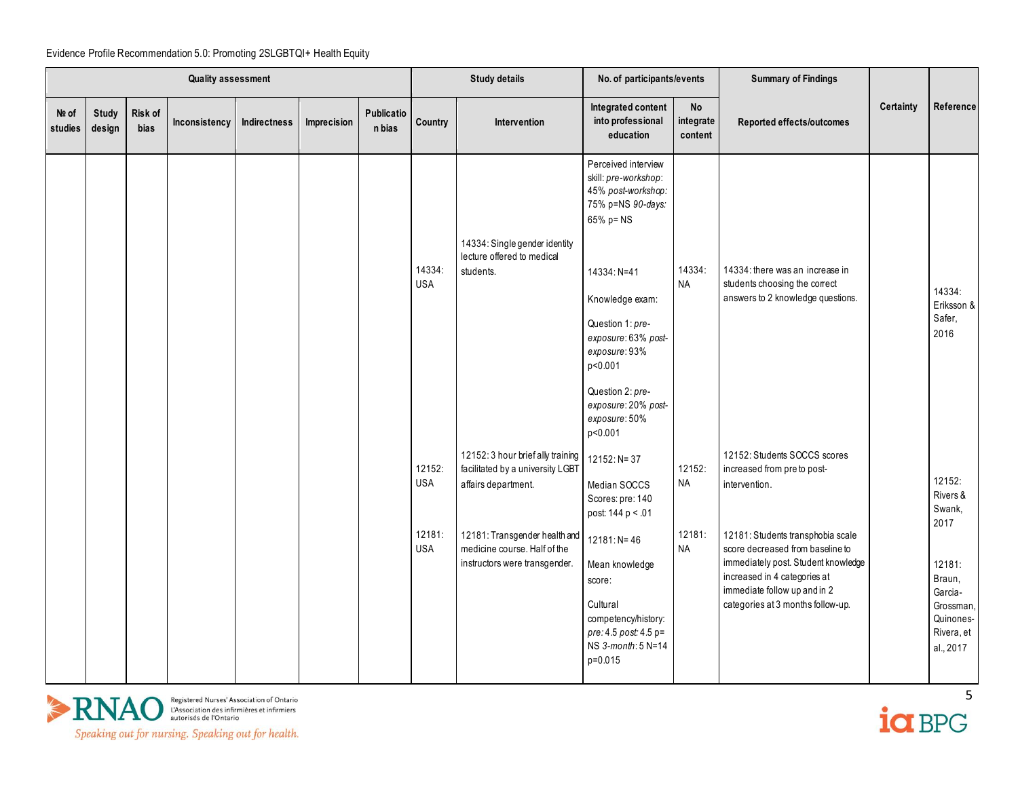|                  | <b>Quality assessment</b> |                        |               |              |             |                      |                      | <b>Study details</b>                                                                           | No. of participants/events                                                                                                                                                                                                                                                          |                            | <b>Summary of Findings</b>                                                                                                                                                                                        |                  |                                                                                          |
|------------------|---------------------------|------------------------|---------------|--------------|-------------|----------------------|----------------------|------------------------------------------------------------------------------------------------|-------------------------------------------------------------------------------------------------------------------------------------------------------------------------------------------------------------------------------------------------------------------------------------|----------------------------|-------------------------------------------------------------------------------------------------------------------------------------------------------------------------------------------------------------------|------------------|------------------------------------------------------------------------------------------|
| Nº of<br>studies | <b>Study</b><br>design    | Risk of<br><b>bias</b> | Inconsistency | Indirectness | Imprecision | Publicatio<br>n bias | Country              | Intervention                                                                                   | Integrated content<br>into professional<br>education                                                                                                                                                                                                                                | No<br>integrate<br>content | Reported effects/outcomes                                                                                                                                                                                         | <b>Certainty</b> | Reference                                                                                |
|                  |                           |                        |               |              |             |                      | 14334:<br><b>USA</b> | 14334: Single gender identity<br>lecture offered to medical<br>students.                       | Perceived interview<br>skill: pre-workshop:<br>45% post-workshop:<br>75% p=NS 90-days:<br>65% p= NS<br>14334: N=41<br>Knowledge exam:<br>Question 1: pre-<br>exposure: 63% post-<br>exposure: 93%<br>p<0.001<br>Question 2: pre-<br>exposure: 20% post-<br>exposure: 50%<br>p<0.001 | 14334:<br><b>NA</b>        | 14334: there was an increase in<br>students choosing the correct<br>answers to 2 knowledge questions.                                                                                                             |                  | 14334:<br>Eriksson &<br>Safer,<br>2016                                                   |
|                  |                           |                        |               |              |             |                      | 12152:<br><b>USA</b> | 12152: 3 hour brief ally training<br>facilitated by a university LGBT<br>affairs department.   | 12152: N= 37<br>Median SOCCS<br>Scores: pre: 140<br>post 144 p < .01                                                                                                                                                                                                                | 12152:<br>NA               | 12152: Students SOCCS scores<br>increased from preto post-<br>intervention.                                                                                                                                       |                  | 12152:<br>Rivers &<br>Swank,                                                             |
|                  |                           |                        |               |              |             |                      | 12181:<br><b>USA</b> | 12181: Transgender health and<br>medicine course. Half of the<br>instructors were transgender. | $12181: N = 46$<br>Mean knowledge<br>score:<br>Cultural<br>competency/history:<br>pre: 4.5 post: 4.5 p=<br>NS 3-month: 5 N=14<br>p=0.015                                                                                                                                            | 12181:<br><b>NA</b>        | 12181: Students transphobia scale<br>score decreased from baseline to<br>immediately post. Student knowledge<br>increased in 4 categories at<br>immediate follow up and in 2<br>categories at 3 months follow-up. |                  | 2017<br>12181:<br>Braun,<br>Garcia-<br>Grossman,<br>Quinones-<br>Rivera, et<br>al., 2017 |



 $i\alpha$  BPG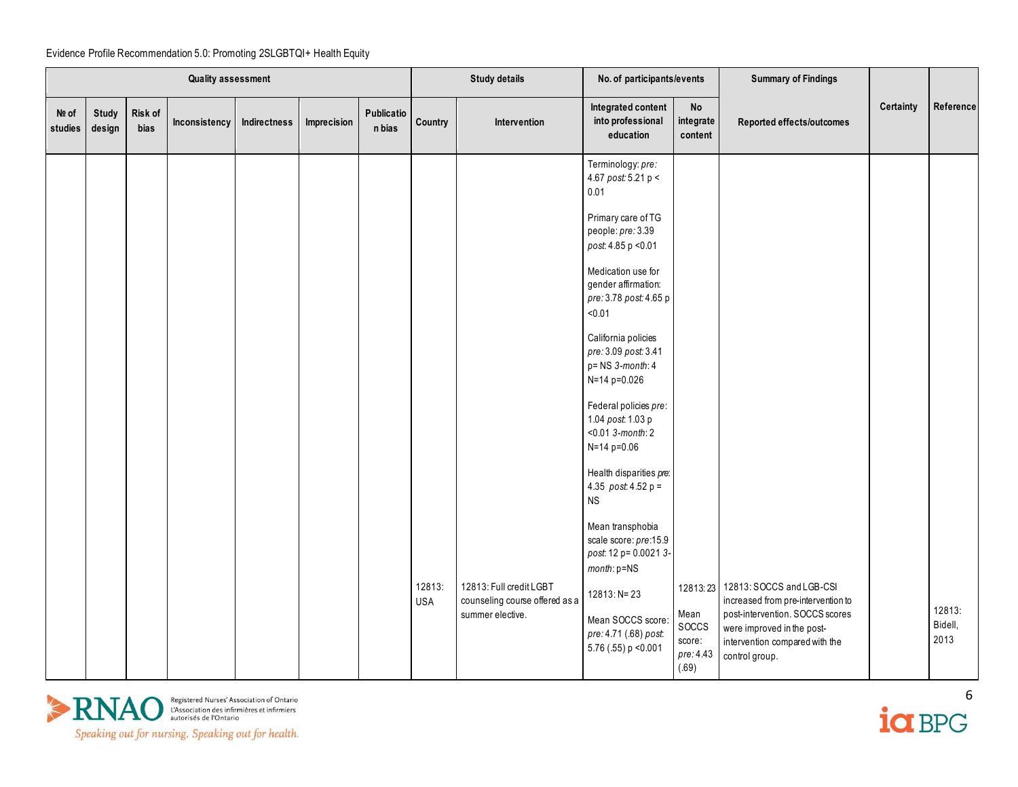|                  | Quality assessment     |                 |               |              |             |                      |                      | <b>Study details</b>                                                          | No. of participants/events                                                                                                                                                                                                                                                                                                                                                                                                                                                                                                                                                                                              |                                               | <b>Summary of Findings</b>                                                                                                                                                                   |           |                           |
|------------------|------------------------|-----------------|---------------|--------------|-------------|----------------------|----------------------|-------------------------------------------------------------------------------|-------------------------------------------------------------------------------------------------------------------------------------------------------------------------------------------------------------------------------------------------------------------------------------------------------------------------------------------------------------------------------------------------------------------------------------------------------------------------------------------------------------------------------------------------------------------------------------------------------------------------|-----------------------------------------------|----------------------------------------------------------------------------------------------------------------------------------------------------------------------------------------------|-----------|---------------------------|
| Nº of<br>studies | <b>Study</b><br>design | Risk of<br>bias | Inconsistency | Indirectness | Imprecision | Publicatio<br>n bias | Country              | Intervention                                                                  | Integrated content<br>into professional<br>education                                                                                                                                                                                                                                                                                                                                                                                                                                                                                                                                                                    | No<br>integrate<br>content                    | Reported effects/outcomes                                                                                                                                                                    | Certainty | Reference                 |
|                  |                        |                 |               |              |             |                      | 12813:<br><b>USA</b> | 12813: Full credit LGBT<br>counseling course offered as a<br>summer elective. | Terminology: pre:<br>4.67 post: 5.21 p <<br>0.01<br>Primary care of TG<br>people: pre: 3.39<br>post 4.85 p < 0.01<br>Medication use for<br>gender affirmation:<br>pre: 3.78 post: 4.65 p<br>< 0.01<br>California policies<br>pre: 3.09 post: 3.41<br>p= NS 3-month: 4<br>N=14 p=0.026<br>Federal policies pre:<br>1.04 post: 1.03 p<br>$< 0.01$ 3-month: 2<br>N=14 p=0.06<br>Health disparities pre:<br>4.35 $post.4.52 p =$<br><b>NS</b><br>Mean transphobia<br>scale score: pre:15.9<br>post: 12 p= 0.0021 3-<br>month: p=NS<br>$12813: N = 23$<br>Mean SOCCS score:<br>pre: 4.71 (.68) post:<br>5.76 (.55) p < 0.001 | Mean<br>SOCCS<br>score:<br>pre: 4.43<br>(.69) | 12813 23 12813: SOCCS and LGB-CSI<br>increased from pre-intervention to<br>post-intervention. SOCCS scores<br>were improved in the post-<br>intervention compared with the<br>control group. |           | 12813:<br>Bidell,<br>2013 |



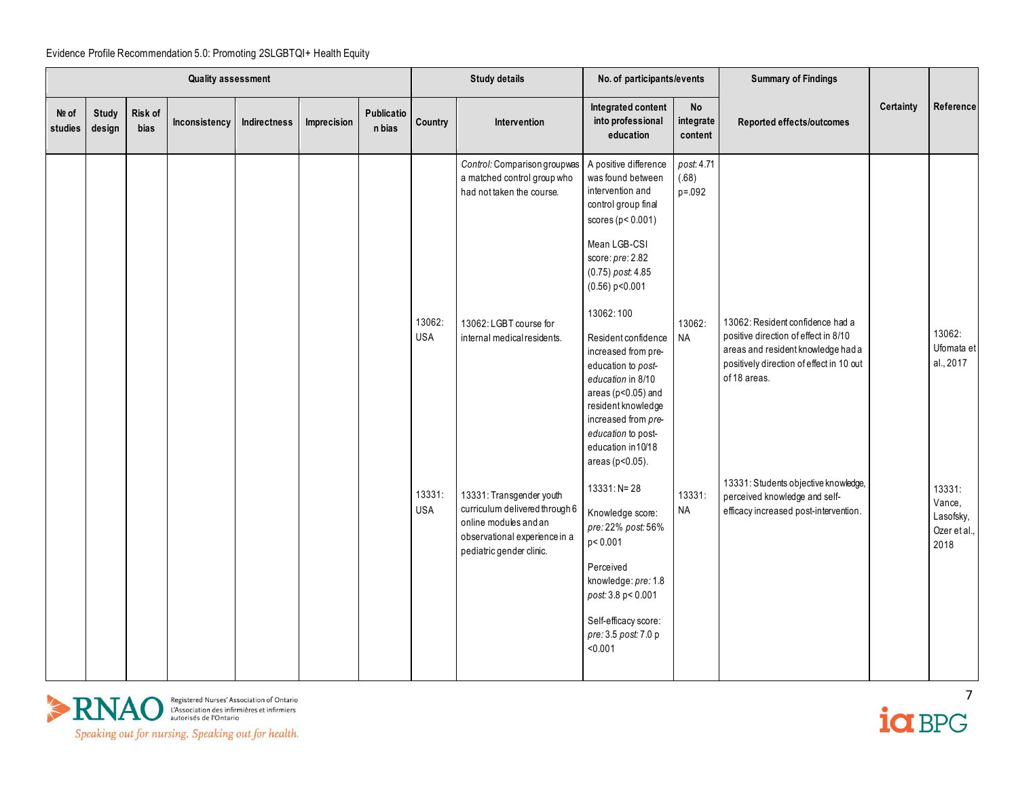|                  |                        |                 | <b>Quality assessment</b> |                     |             |                      |                      | <b>Study details</b>                                                                                                                             | No. of participants/events                                                                                                                                                                                                  |                                    | <b>Summary of Findings</b>                                                                                                             |                  |                                                       |
|------------------|------------------------|-----------------|---------------------------|---------------------|-------------|----------------------|----------------------|--------------------------------------------------------------------------------------------------------------------------------------------------|-----------------------------------------------------------------------------------------------------------------------------------------------------------------------------------------------------------------------------|------------------------------------|----------------------------------------------------------------------------------------------------------------------------------------|------------------|-------------------------------------------------------|
| Nº of<br>studies | <b>Study</b><br>design | Risk of<br>bias | Inconsistency             | <b>Indirectness</b> | Imprecision | Publicatio<br>n bias | Country              | Intervention                                                                                                                                     | Integrated content<br>into professional<br>education                                                                                                                                                                        | <b>No</b><br>integrate<br>content  | Reported effects/outcomes                                                                                                              | <b>Certainty</b> | Reference                                             |
|                  |                        |                 |                           |                     |             |                      |                      | Control: Comparison groupwas<br>a matched control group who<br>had not taken the course.                                                         | A positive difference<br>was found between<br>intervention and<br>control group final<br>scores ( $p < 0.001$ )                                                                                                             | post: 4.71<br>(.68)<br>$p = 0.092$ |                                                                                                                                        |                  |                                                       |
|                  |                        |                 |                           |                     |             |                      |                      |                                                                                                                                                  | Mean LGB-CSI<br>score: pre: 2.82<br>(0.75) post: 4.85<br>$(0.56)$ p<0.001                                                                                                                                                   |                                    |                                                                                                                                        |                  |                                                       |
|                  |                        |                 |                           |                     |             |                      | 13062:               | 13062: LGBT course for                                                                                                                           | 13062:100                                                                                                                                                                                                                   | 13062:                             | 13062: Resident confidence had a                                                                                                       |                  |                                                       |
|                  |                        |                 |                           |                     |             |                      | <b>USA</b>           | internal medical residents.                                                                                                                      | Resident confidence<br>increased from pre-<br>education to post-<br>education in 8/10<br>areas ( $p<0.05$ ) and<br>resident knowledge<br>increased from pre-<br>education to post-<br>education in 10/18<br>areas (p<0.05). | <b>NA</b>                          | positive direction of effect in 8/10<br>areas and resident knowledge had a<br>positively direction of effect in 10 out<br>of 18 areas. |                  | 13062:<br>Ufomata et<br>al., 2017                     |
|                  |                        |                 |                           |                     |             |                      | 13331:<br><b>USA</b> | 13331: Transgender youth<br>curriculum delivered through 6<br>online modules and an<br>observational experience in a<br>pediatric gender clinic. | $13331: N = 28$<br>Knowledge score:<br>pre: 22% post: 56%<br>p<0.001<br>Perceived<br>knowledge: pre: 1.8<br>post: 3.8 p < 0.001                                                                                             | 13331:<br><b>NA</b>                | 13331: Students objective knowledge,<br>perceived knowledge and self-<br>efficacy increased post-intervention.                         |                  | 13331:<br>Vance,<br>Lasofsky,<br>Ozer et al.,<br>2018 |
|                  |                        |                 |                           |                     |             |                      |                      |                                                                                                                                                  | Self-efficacy score:<br>pre: 3.5 post: 7.0 p<br>< 0.001                                                                                                                                                                     |                                    |                                                                                                                                        |                  |                                                       |

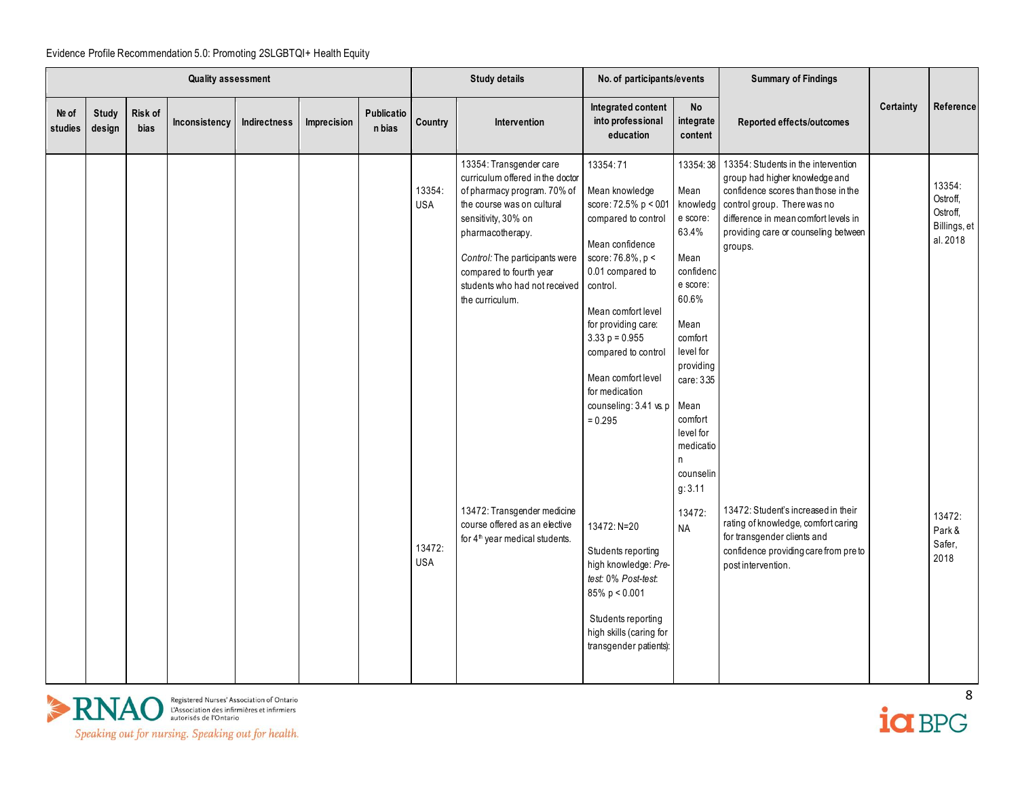|                  | <b>Quality assessment</b> |                 |               |              |             |                      |                                              | <b>Study details</b>                                                                                                                                                                                                                                                                                                                                                                               | No. of participants/events                                                                                                                                                                                                                                                                                                                                                                  |                                                                                                                                                                                                                                                         | <b>Summary of Findings</b>                                                                                                                                                                                                                                                                                                                                                                                         |           |                                                                                                  |
|------------------|---------------------------|-----------------|---------------|--------------|-------------|----------------------|----------------------------------------------|----------------------------------------------------------------------------------------------------------------------------------------------------------------------------------------------------------------------------------------------------------------------------------------------------------------------------------------------------------------------------------------------------|---------------------------------------------------------------------------------------------------------------------------------------------------------------------------------------------------------------------------------------------------------------------------------------------------------------------------------------------------------------------------------------------|---------------------------------------------------------------------------------------------------------------------------------------------------------------------------------------------------------------------------------------------------------|--------------------------------------------------------------------------------------------------------------------------------------------------------------------------------------------------------------------------------------------------------------------------------------------------------------------------------------------------------------------------------------------------------------------|-----------|--------------------------------------------------------------------------------------------------|
| Nº of<br>studies | <b>Study</b><br>design    | Risk of<br>bias | Inconsistency | Indirectness | Imprecision | Publicatio<br>n bias | Country                                      | <b>Intervention</b>                                                                                                                                                                                                                                                                                                                                                                                | Integrated content<br>into professional<br>education                                                                                                                                                                                                                                                                                                                                        | <b>No</b><br>integrate<br>content                                                                                                                                                                                                                       | Reported effects/outcomes                                                                                                                                                                                                                                                                                                                                                                                          | Certainty | Reference                                                                                        |
|                  |                           |                 |               |              |             |                      | 13354:<br><b>USA</b><br>13472:<br><b>USA</b> | 13354: Transgender care<br>curriculum offered in the doctor<br>of pharmacy program. 70% of<br>the course was on cultural<br>sensitivity, 30% on<br>pharmacotherapy.<br>Control: The participants were<br>compared to fourth year<br>students who had not received<br>the curriculum.<br>13472: Transgender medicine<br>course offered as an elective<br>for 4 <sup>th</sup> year medical students. | 13354:71<br>Mean knowledge<br>score: 72.5% p < 001<br>compared to control<br>Mean confidence<br>score: $76.8\%$ , $p <$<br>0.01 compared to<br>control.<br>Mean comfort level<br>for providing care:<br>$3.33 p = 0.955$<br>compared to control<br>Mean comfort level<br>for medication<br>counseling: 3.41 vs. p<br>$= 0.295$<br>13472: N=20<br>Students reporting<br>high knowledge: Pre- | 13354:38<br>Mean<br>knowledg<br>e score:<br>63.4%<br>Mean<br>confidenc<br>e score:<br>60.6%<br>Mean<br>comfort<br>level for<br>providing<br>care: 3.35<br>Mean<br>comfort<br>level for<br>medicatio<br>n<br>counselin<br>g: 3.11<br>13472:<br><b>NA</b> | 13354: Students in the intervention<br>group had higher knowledge and<br>confidence scores than those in the<br>control group. There was no<br>difference in mean comfort levels in<br>providing care or counseling between<br>groups.<br>13472: Student's increased in their<br>rating of knowledge, comfort caring<br>for transgender clients and<br>confidence providing care from pre to<br>post intervention. |           | 13354:<br>Ostroff,<br>Ostroff,<br>Billings, et<br>al. 2018<br>13472:<br>Park &<br>Safer,<br>2018 |
|                  |                           |                 |               |              |             |                      |                                              |                                                                                                                                                                                                                                                                                                                                                                                                    | test: 0% Post-test:<br>$85\% p < 0.001$<br>Students reporting<br>high skills (caring for<br>transgender patients):                                                                                                                                                                                                                                                                          |                                                                                                                                                                                                                                                         |                                                                                                                                                                                                                                                                                                                                                                                                                    |           |                                                                                                  |



ia BPG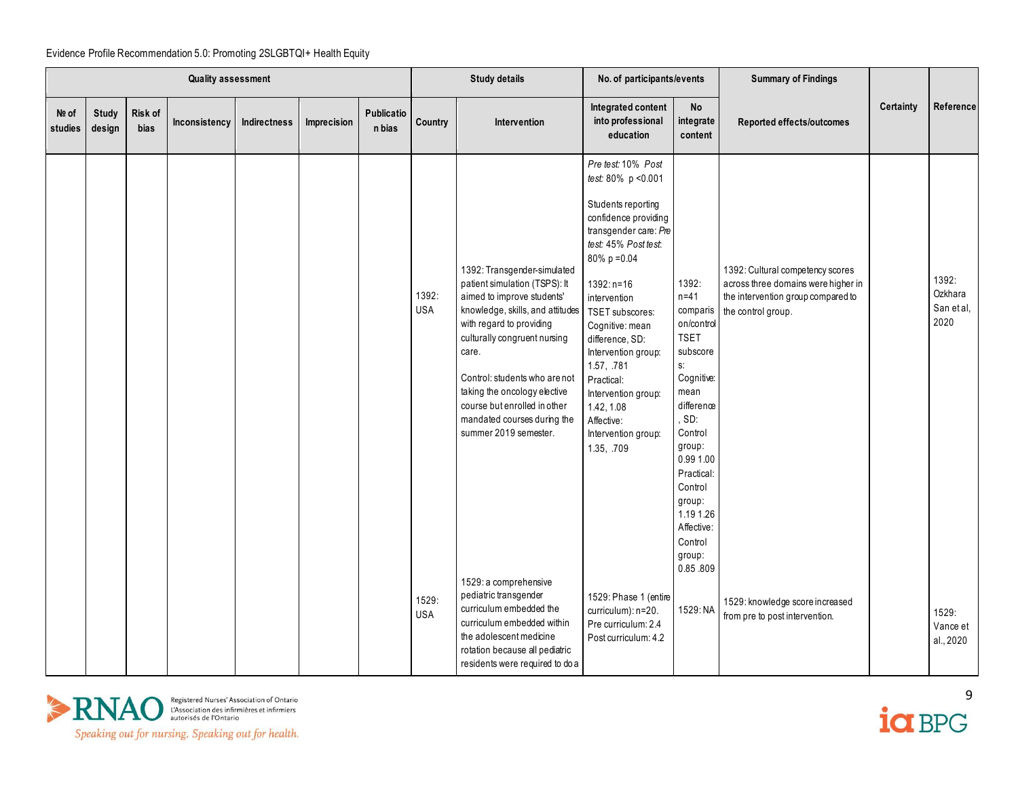|                  | <b>Quality assessment</b> |                 |               |                     |             |                      |                     | <b>Study details</b>                                                                                                                                                                                                                                                                                                                                                                  | No. of participants/events                                                                                                                                                                                                                                                                                                                                                                     |                                                                                                                                                                                                                                                        | <b>Summary of Findings</b>                                                                                                          |           |                                        |
|------------------|---------------------------|-----------------|---------------|---------------------|-------------|----------------------|---------------------|---------------------------------------------------------------------------------------------------------------------------------------------------------------------------------------------------------------------------------------------------------------------------------------------------------------------------------------------------------------------------------------|------------------------------------------------------------------------------------------------------------------------------------------------------------------------------------------------------------------------------------------------------------------------------------------------------------------------------------------------------------------------------------------------|--------------------------------------------------------------------------------------------------------------------------------------------------------------------------------------------------------------------------------------------------------|-------------------------------------------------------------------------------------------------------------------------------------|-----------|----------------------------------------|
| Nº of<br>studies | Study<br>design           | Risk of<br>bias | Inconsistency | <b>Indirectness</b> | Imprecision | Publicatio<br>n bias | <b>Country</b>      | <b>Intervention</b>                                                                                                                                                                                                                                                                                                                                                                   | Integrated content<br>into professional<br>education                                                                                                                                                                                                                                                                                                                                           | $\mathsf{No}$<br>integrate<br>content                                                                                                                                                                                                                  | Reported effects/outcomes                                                                                                           | Certainty | Reference                              |
|                  |                           |                 |               |                     |             |                      | 1392:<br><b>USA</b> | 1392: Transgender-simulated<br>patient simulation (TSPS): It<br>aimed to improve students'<br>knowledge, skills, and attitudes<br>with regard to providing<br>culturally congruent nursing<br>care.<br>Control: students who are not<br>taking the oncology elective<br>course but enrolled in other<br>mandated courses during the<br>summer 2019 semester.<br>1529: a comprehensive | Pre test: 10% Post<br>test: 80% p < 0.001<br>Students reporting<br>confidence providing<br>transgender care: Pre<br>test: 45% Post test:<br>$80\% p = 0.04$<br>$1392: n=16$<br>intervention<br>TSET subscores:<br>Cognitive: mean<br>difference, SD:<br>Intervention group:<br>1.57, .781<br>Practical:<br>Intervention group:<br>1.42, 1.08<br>Affective:<br>Intervention group:<br>1.35, 709 | 1392:<br>$n=41$<br>comparis<br>on/control<br><b>TSET</b><br>subscore<br>s.<br>Cognitive:<br>mean<br>difference<br>SD:<br>Control<br>group:<br>0.99 1.00<br>Practical:<br>Control<br>group:<br>1.19 1.26<br>Affective:<br>Control<br>group:<br>0.85.809 | 1392: Cultural competency scores<br>across three domains were higher in<br>the intervention group compared to<br>the control group. |           | 1392:<br>Ozkhara<br>San et al,<br>2020 |
|                  |                           |                 |               |                     |             |                      | 1529:<br><b>USA</b> | pediatric transgender<br>curriculum embedded the<br>curriculum embedded within<br>the adolescent medicine<br>rotation because all pediatric<br>residents were required to do a                                                                                                                                                                                                        | 1529: Phase 1 (entire<br>curriculum): n=20.<br>Pre curriculum: 2.4<br>Post curriculum: 4.2                                                                                                                                                                                                                                                                                                     | 1529: NA                                                                                                                                                                                                                                               | 1529: knowledge score increased<br>from pre to post intervention.                                                                   |           | 1529:<br>Vance et<br>al., 2020         |



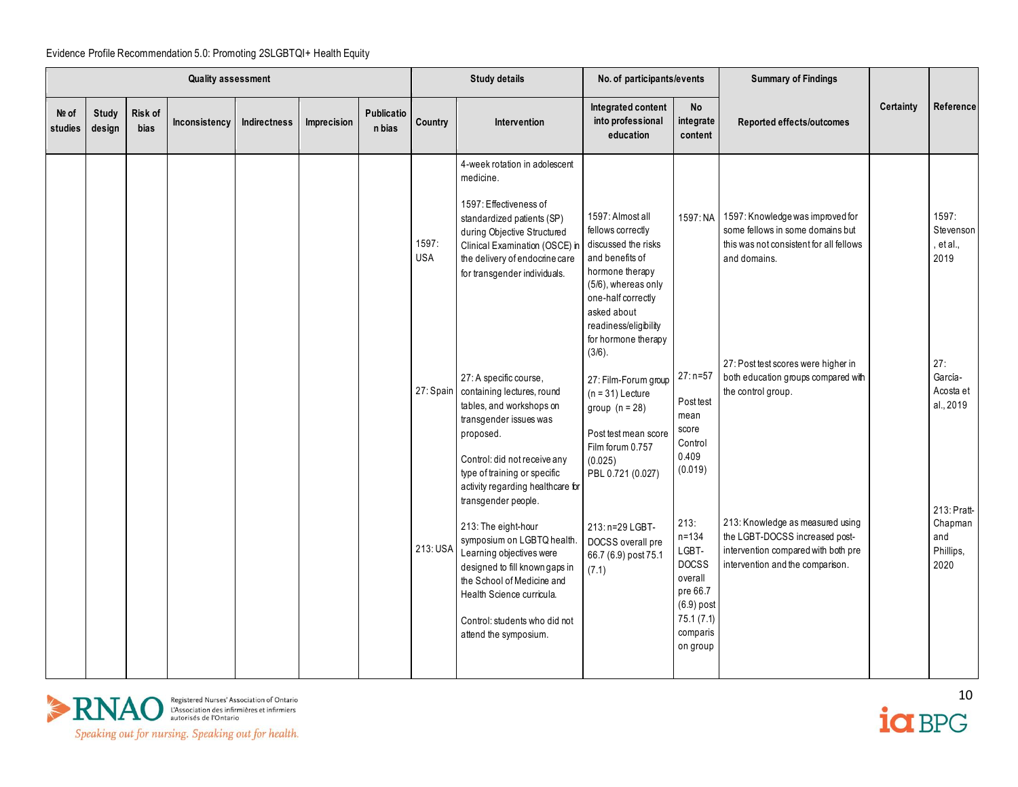|                  |                 |                        | <b>Quality assessment</b> |                     |             |                      |                     | <b>Study details</b>                                                                                                                                                                                                                                                                                                                                                                                                                                                            | No. of participants/events                                                                                                                                                                                                                                                                                                                                                |                                                                                                                        | <b>Summary of Findings</b>                                                                                                                                                                                                                   |           |                                                                                   |
|------------------|-----------------|------------------------|---------------------------|---------------------|-------------|----------------------|---------------------|---------------------------------------------------------------------------------------------------------------------------------------------------------------------------------------------------------------------------------------------------------------------------------------------------------------------------------------------------------------------------------------------------------------------------------------------------------------------------------|---------------------------------------------------------------------------------------------------------------------------------------------------------------------------------------------------------------------------------------------------------------------------------------------------------------------------------------------------------------------------|------------------------------------------------------------------------------------------------------------------------|----------------------------------------------------------------------------------------------------------------------------------------------------------------------------------------------------------------------------------------------|-----------|-----------------------------------------------------------------------------------|
| Nº of<br>studies | Study<br>design | Risk of<br><b>bias</b> | Inconsistency             | <b>Indirectness</b> | Imprecision | Publicatio<br>n bias | Country             | Intervention                                                                                                                                                                                                                                                                                                                                                                                                                                                                    | Integrated content<br>into professional<br>education                                                                                                                                                                                                                                                                                                                      | <b>No</b><br>integrate<br>content                                                                                      | Reported effects/outcomes                                                                                                                                                                                                                    | Certainty | Reference                                                                         |
|                  |                 |                        |                           |                     |             |                      | 1597:<br><b>USA</b> | 4-week rotation in adolescent<br>medicine.<br>1597: Effectiveness of<br>standardized patients (SP)<br>during Objective Structured<br>Clinical Examination (OSCE) in<br>the delivery of endocrine care<br>for transgender individuals.<br>27: A specific course,<br>27: Spain containing lectures, round<br>tables, and workshops on<br>transgender issues was<br>proposed.<br>Control: did not receive any<br>type of training or specific<br>activity regarding healthcare for | 1597: Almost all<br>fellows correctly<br>discussed the risks<br>and benefits of<br>hormone therapy<br>(5/6), whereas only<br>one-half correctly<br>asked about<br>readiness/eligibility<br>for hormone therapy<br>$(3/6)$ .<br>27: Film-Forum group<br>$(n = 31)$ Lecture<br>group $(n = 28)$<br>Post test mean score<br>Film forum 0.757<br>(0.025)<br>PBL 0.721 (0.027) | $27: n=57$<br>Post test<br>mean<br>score<br>Control<br>0.409<br>(0.019)                                                | 1597: NA 1597: Knowledge was improved for<br>some fellows in some domains but<br>this was not consistent for all fellows<br>and domains.<br>27: Post test scores were higher in<br>both education groups compared with<br>the control group. |           | 1597:<br>Stevenson<br>et al.,<br>2019<br>27:<br>García-<br>Acosta et<br>al., 2019 |
|                  |                 |                        |                           |                     |             |                      | 213: USA            | transgender people.<br>213: The eight-hour<br>symposium on LGBTQ health.<br>Learning objectives were<br>designed to fill known gaps in<br>the School of Medicine and<br>Health Science curricula.<br>Control: students who did not<br>attend the symposium.                                                                                                                                                                                                                     | 213: n=29 LGBT-<br>DOCSS overall pre<br>66.7 (6.9) post 75.1<br>(7.1)                                                                                                                                                                                                                                                                                                     | 213:<br>$n = 134$<br>LGBT-<br><b>DOCSS</b><br>overall<br>pre 66.7<br>$(6.9)$ post<br>75.1(7.1)<br>comparis<br>on group | 213: Knowledge as measured using<br>the LGBT-DOCSS increased post-<br>intervention compared with both pre<br>intervention and the comparison.                                                                                                |           | 213: Pratt-<br>Chapman<br>and<br>Phillips,<br>2020                                |

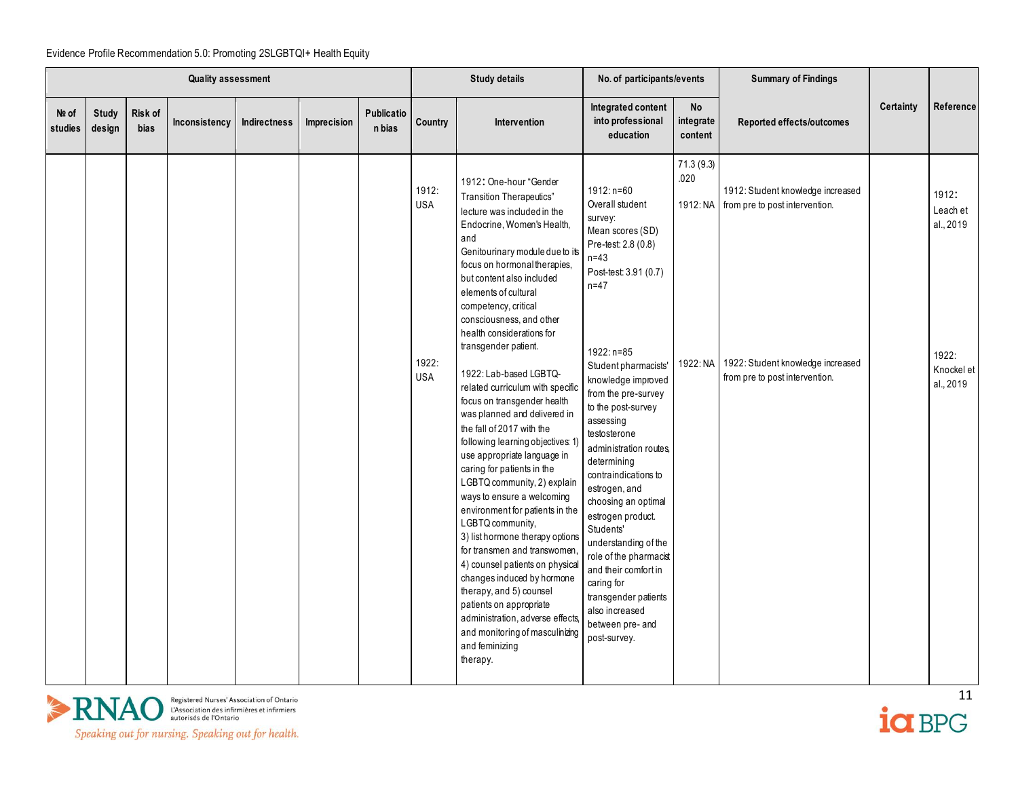| Certainty<br>Integrated content<br>No<br>Publicatio<br>Nº of<br>Study<br>Risk of<br>into professional<br>integrate<br>Country<br>Inconsistency<br>Indirectness<br>Imprecision<br>Intervention<br>Reported effects/outcomes<br>studies<br><b>bias</b><br>n bias<br>design<br>education<br>content                                                                                                                                                                                                                                                                                                                                                                                                                                                                                                                                                                                                                                                                                                                                                                                                                                                                                                                                                                                                                                                                                                                                                                                                                                                                                                                                                                                                                                                                                                                                                                        | Reference<br>1912:                                        |
|-------------------------------------------------------------------------------------------------------------------------------------------------------------------------------------------------------------------------------------------------------------------------------------------------------------------------------------------------------------------------------------------------------------------------------------------------------------------------------------------------------------------------------------------------------------------------------------------------------------------------------------------------------------------------------------------------------------------------------------------------------------------------------------------------------------------------------------------------------------------------------------------------------------------------------------------------------------------------------------------------------------------------------------------------------------------------------------------------------------------------------------------------------------------------------------------------------------------------------------------------------------------------------------------------------------------------------------------------------------------------------------------------------------------------------------------------------------------------------------------------------------------------------------------------------------------------------------------------------------------------------------------------------------------------------------------------------------------------------------------------------------------------------------------------------------------------------------------------------------------------|-----------------------------------------------------------|
|                                                                                                                                                                                                                                                                                                                                                                                                                                                                                                                                                                                                                                                                                                                                                                                                                                                                                                                                                                                                                                                                                                                                                                                                                                                                                                                                                                                                                                                                                                                                                                                                                                                                                                                                                                                                                                                                         |                                                           |
| 71.3(9.3)<br>.020<br>1912: One-hour "Gender<br>1912:<br>1912: n=60<br>1912: Student knowledge increased<br>Transition Therapeutics"<br>Overall student<br><b>USA</b><br>1912: NA from pre to post intervention.<br>lecture was included in the<br>survey:<br>Endocrine, Women's Health,<br>Mean scores (SD)<br>and<br>Pre-test: 2.8 (0.8)<br>Genitourinary module due to its<br>$n=43$<br>focus on hormonal therapies,<br>Post-test: 3.91 (0.7)<br>but content also included<br>$n=47$<br>elements of cultural<br>competency, critical<br>consciousness, and other<br>health considerations for<br>transgender patient.<br>1922: n=85<br>1922:<br>1922: Student knowledge increased<br>1922: NA<br>Student pharmacists'<br>1922: Lab-based LGBTQ-<br><b>USA</b><br>from pre to post intervention.<br>knowledge improved<br>related curriculum with specific<br>from the pre-survey<br>focus on transgender health<br>to the post-survey<br>was planned and delivered in<br>assessing<br>the fall of 2017 with the<br>testosterone<br>following learning objectives: 1)<br>administration routes,<br>use appropriate language in<br>determining<br>caring for patients in the<br>contraindications to<br>LGBTQ community, 2) explain<br>estrogen, and<br>ways to ensure a welcoming<br>choosing an optimal<br>environment for patients in the<br>estrogen product.<br>LGBTQ community,<br>Students'<br>3) list hormone therapy options<br>understanding of the<br>for transmen and transwomen,<br>role of the pharmacist<br>4) counsel patients on physical<br>and their comfort in<br>changes induced by hormone<br>caring for<br>therapy, and 5) counsel<br>transgender patients<br>patients on appropriate<br>also increased<br>administration, adverse effects,<br>between pre- and<br>and monitoring of masculinizing<br>post-survey.<br>and feminizing<br>therapy. | Leach et<br>al., 2019<br>1922:<br>Knockel et<br>al., 2019 |



 $\frac{11}{10}$ 

Speaking out for nursing. Speaking out for health.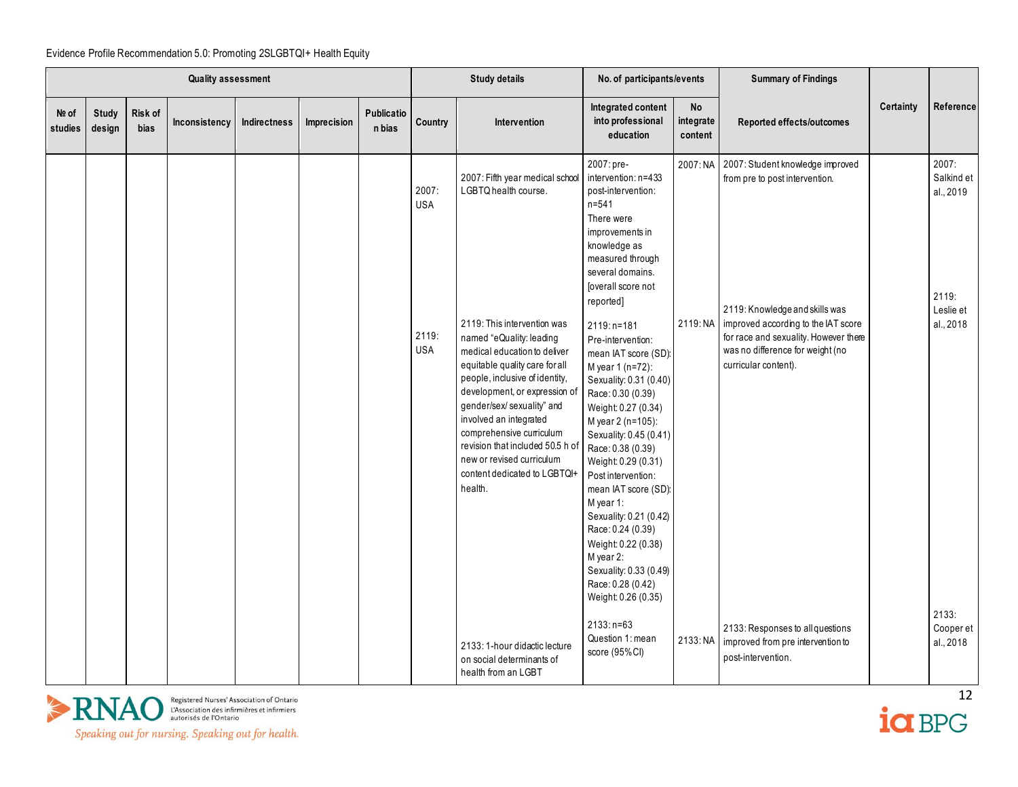|                  |                        |                 | <b>Quality assessment</b> |              |             |                      |                                            | <b>Study details</b>                                                                                                                                                                                                                                                                                                                                                                                                                                    | No. of participants/events                                                                                                                                                                                                                                                                                                                                                                                                                                                                                                                                                                                                                                                   |                                   | <b>Summary of Findings</b>                                                                                                                                                                                                                                         |           |                                                                     |
|------------------|------------------------|-----------------|---------------------------|--------------|-------------|----------------------|--------------------------------------------|---------------------------------------------------------------------------------------------------------------------------------------------------------------------------------------------------------------------------------------------------------------------------------------------------------------------------------------------------------------------------------------------------------------------------------------------------------|------------------------------------------------------------------------------------------------------------------------------------------------------------------------------------------------------------------------------------------------------------------------------------------------------------------------------------------------------------------------------------------------------------------------------------------------------------------------------------------------------------------------------------------------------------------------------------------------------------------------------------------------------------------------------|-----------------------------------|--------------------------------------------------------------------------------------------------------------------------------------------------------------------------------------------------------------------------------------------------------------------|-----------|---------------------------------------------------------------------|
| Nº of<br>studies | <b>Study</b><br>design | Risk of<br>bias | Inconsistency             | Indirectness | Imprecision | Publicatio<br>n bias | Country                                    | <b>Intervention</b>                                                                                                                                                                                                                                                                                                                                                                                                                                     | Integrated content<br>into professional<br>education                                                                                                                                                                                                                                                                                                                                                                                                                                                                                                                                                                                                                         | <b>No</b><br>integrate<br>content | Reported effects/outcomes                                                                                                                                                                                                                                          | Certainty | Reference                                                           |
|                  |                        |                 |                           |              |             |                      | 2007:<br><b>USA</b><br>2119:<br><b>USA</b> | 2007: Fifth year medical school<br>LGBTQ health course.<br>2119: This intervention was<br>named "eQuality: leading<br>medical education to deliver<br>equitable quality care for all<br>people, inclusive of identity,<br>development, or expression of<br>gender/sex/ sexuality" and<br>involved an integrated<br>comprehensive curriculum<br>revision that included 50.5 h of<br>new or revised curriculum<br>content dedicated to LGBTQI+<br>health. | 2007: pre-<br>intervention: n=433<br>post-intervention:<br>$n = 541$<br>There were<br>improvements in<br>knowledge as<br>measured through<br>several domains.<br><b>[overall score not</b><br>reported]<br>2119: n=181<br>Pre-intervention:<br>mean IAT score (SD):<br>M year 1 (n=72):<br>Sexuality: 0.31 (0.40)<br>Race: 0.30 (0.39)<br>Weight: 0.27 (0.34)<br>M year 2 (n=105):<br>Sexuality: 0.45 (0.41)<br>Race: 0.38 (0.39)<br>Weight: 0.29 (0.31)<br>Post intervention:<br>mean IAT score (SD):<br>M year 1:<br>Sexuality: 0.21 (0.42)<br>Race: 0.24 (0.39)<br>Weight: 0.22 (0.38)<br>M year 2:<br>Sexuality: 0.33 (0.49)<br>Race: 0.28 (0.42)<br>Weight: 0.26 (0.35) |                                   | 2007: NA 2007: Student knowledge improved<br>from pre to post intervention.<br>2119: Knowledge and skills was<br>2119: NA improved according to the IAT score<br>for race and sexuality. However there<br>was no difference for weight (no<br>curricular content). |           | 2007:<br>Salkind et<br>al., 2019<br>2119:<br>Leslie et<br>al., 2018 |
|                  |                        |                 |                           |              |             |                      |                                            | 2133: 1-hour didactic lecture<br>on social determinants of<br>health from an LGBT                                                                                                                                                                                                                                                                                                                                                                       | $2133: n=63$<br>Question 1: mean<br>score (95%CI)                                                                                                                                                                                                                                                                                                                                                                                                                                                                                                                                                                                                                            |                                   | 2133: Responses to all questions<br>2133: NA improved from pre intervention to<br>post-intervention.                                                                                                                                                               |           | 2133:<br>Cooper et<br>al., 2018                                     |



Speaking out for nursing. Speaking out for health.

 $\frac{12}{10}$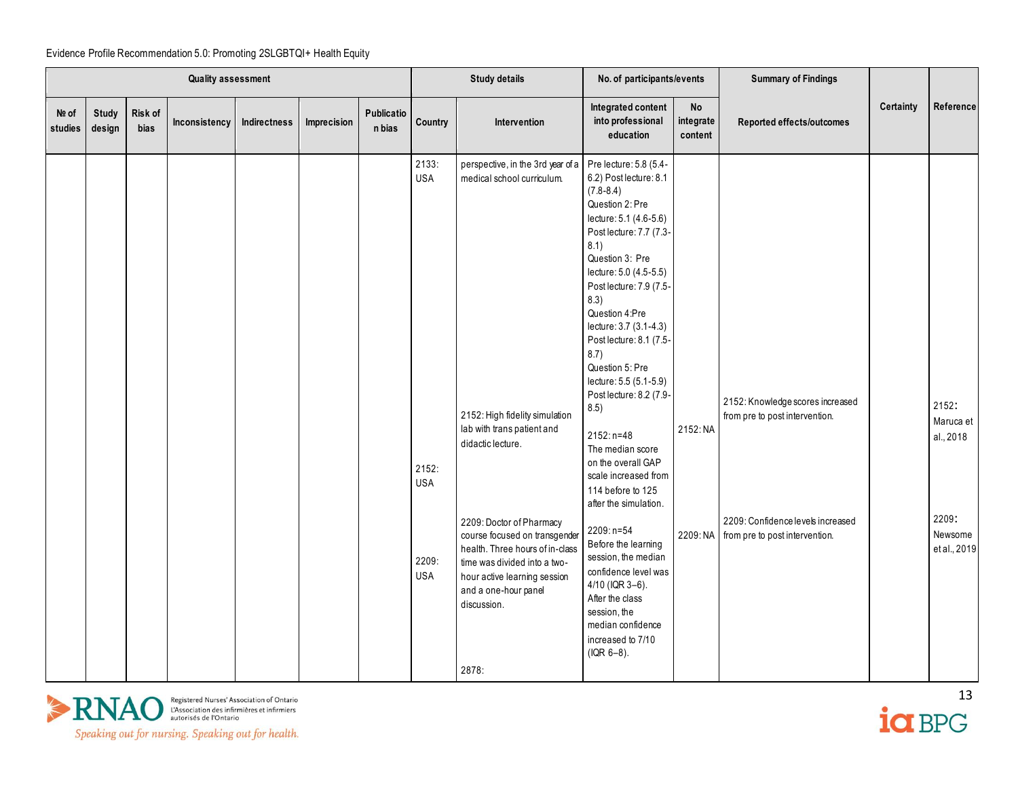|                  | Quality assessment |                 |               |              | <b>Study details</b> |                      | No. of participants/events                                        |                                                                                                                                                                                                                                                                                                                                                                                             | <b>Summary of Findings</b>                                                                                                                                                                                                                                                                                                                                                                                                                                                                                                                                                                                                                                                                                    |                            |                                                                                                                                           |           |                                                                     |
|------------------|--------------------|-----------------|---------------|--------------|----------------------|----------------------|-------------------------------------------------------------------|---------------------------------------------------------------------------------------------------------------------------------------------------------------------------------------------------------------------------------------------------------------------------------------------------------------------------------------------------------------------------------------------|---------------------------------------------------------------------------------------------------------------------------------------------------------------------------------------------------------------------------------------------------------------------------------------------------------------------------------------------------------------------------------------------------------------------------------------------------------------------------------------------------------------------------------------------------------------------------------------------------------------------------------------------------------------------------------------------------------------|----------------------------|-------------------------------------------------------------------------------------------------------------------------------------------|-----------|---------------------------------------------------------------------|
| Nº of<br>studies | Study<br>design    | Risk of<br>bias | Inconsistency | Indirectness | Imprecision          | Publicatio<br>n bias | Country                                                           | Intervention                                                                                                                                                                                                                                                                                                                                                                                | Integrated content<br>into professional<br>education                                                                                                                                                                                                                                                                                                                                                                                                                                                                                                                                                                                                                                                          | No<br>integrate<br>content | Reported effects/outcomes                                                                                                                 | Certainty | Reference                                                           |
|                  |                    |                 |               |              |                      |                      | 2133:<br><b>USA</b><br>2152:<br><b>USA</b><br>2209:<br><b>USA</b> | perspective, in the 3rd year of a Pre lecture: 5.8 (5.4-<br>medical school curriculum.<br>2152: High fidelity simulation<br>lab with trans patient and<br>didactic lecture.<br>2209: Doctor of Pharmacy<br>course focused on transgender<br>health. Three hours of in-class<br>time was divided into a two-<br>hour active learning session<br>and a one-hour panel<br>discussion.<br>2878: | 6.2) Post lecture: 8.1<br>$(7.8 - 8.4)$<br>Question 2: Pre<br>lecture: 5.1 (4.6-5.6)<br>Post lecture: 7.7 (7.3-<br>8.1)<br>Question 3: Pre<br>lecture: 5.0 (4.5-5.5)<br>Post lecture: 7.9 (7.5-<br>8.3)<br>Question 4:Pre<br>lecture: 3.7 (3.1-4.3)<br>Post lecture: 8.1 (7.5-<br>8.7)<br>Question 5: Pre<br>lecture: 5.5 (5.1-5.9)<br>Post lecture: 8.2 (7.9-<br>8.5)<br>$2152: n=48$<br>The median score<br>on the overall GAP<br>scale increased from<br>114 before to 125<br>after the simulation.<br>2209: n=54<br>Before the learning<br>session, the median<br>confidence level was<br>$4/10$ (IQR 3-6).<br>After the class<br>session, the<br>median confidence<br>increased to 7/10<br>$( IQR 6-8).$ | 2152: NA<br>2209: NA       | 2152: Knowledge scores increased<br>from pre to post intervention.<br>2209: Confidence levels increased<br>from pre to post intervention. |           | 2152:<br>Maruca et<br>al., 2018<br>2209:<br>Newsome<br>et al., 2019 |



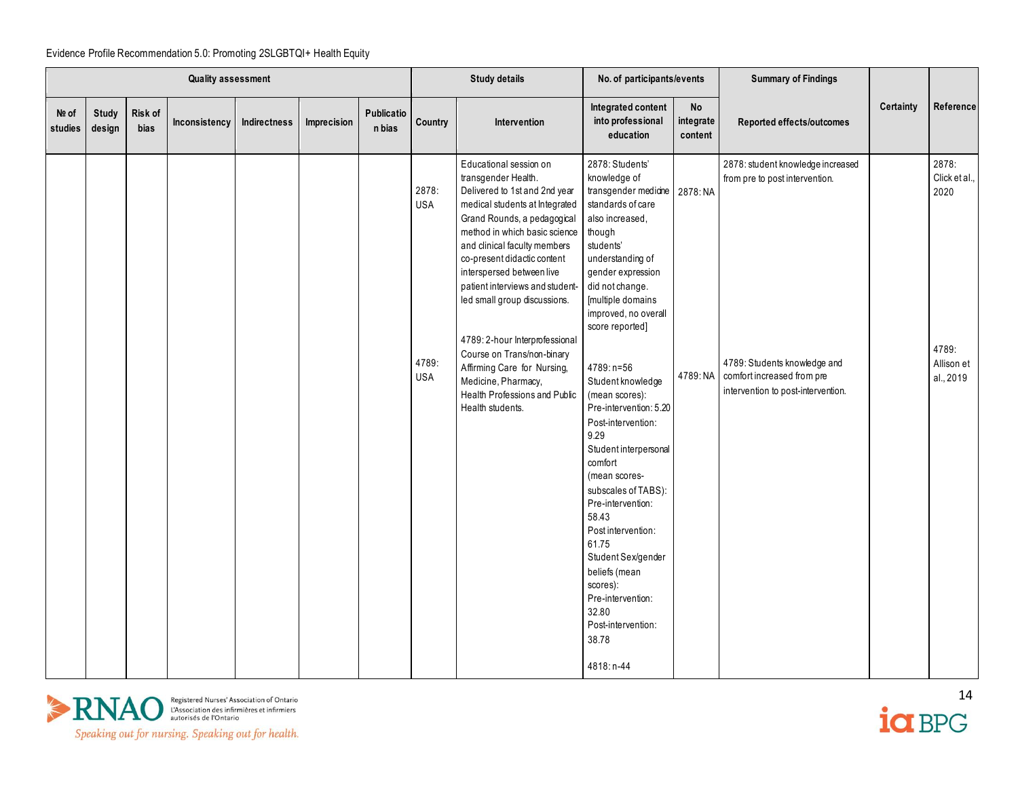|                  | <b>Quality assessment</b> |                 |               |              | <b>Study details</b> |                      | No. of participants/events                 |                                                                                                                                                                                                                                                                                                                                                                                                                                                                                                                            | <b>Summary of Findings</b>                                                                                                                                                                                                                                                                                                                                                                                                                                                                                                                                                                                                             |                            |                                                                                                                                                                         |           |                                                                    |
|------------------|---------------------------|-----------------|---------------|--------------|----------------------|----------------------|--------------------------------------------|----------------------------------------------------------------------------------------------------------------------------------------------------------------------------------------------------------------------------------------------------------------------------------------------------------------------------------------------------------------------------------------------------------------------------------------------------------------------------------------------------------------------------|----------------------------------------------------------------------------------------------------------------------------------------------------------------------------------------------------------------------------------------------------------------------------------------------------------------------------------------------------------------------------------------------------------------------------------------------------------------------------------------------------------------------------------------------------------------------------------------------------------------------------------------|----------------------------|-------------------------------------------------------------------------------------------------------------------------------------------------------------------------|-----------|--------------------------------------------------------------------|
| Nº of<br>studies | <b>Study</b><br>design    | Risk of<br>bias | Inconsistency | Indirectness | Imprecision          | Publicatio<br>n bias | Country                                    | Intervention                                                                                                                                                                                                                                                                                                                                                                                                                                                                                                               | Integrated content<br>into professional<br>education                                                                                                                                                                                                                                                                                                                                                                                                                                                                                                                                                                                   | No<br>integrate<br>content | Reported effects/outcomes                                                                                                                                               | Certainty | Reference                                                          |
|                  |                           |                 |               |              |                      |                      | 2878:<br><b>USA</b><br>4789:<br><b>USA</b> | Educational session on<br>transgender Health.<br>Delivered to 1st and 2nd year<br>medical students at Integrated<br>Grand Rounds, a pedagogical<br>method in which basic science<br>and clinical faculty members<br>co-present didactic content<br>interspersed between live<br>patient interviews and student-<br>led small group discussions.<br>4789: 2-hour Interprofessional<br>Course on Trans/non-binary<br>Affirming Care for Nursing,<br>Medicine, Pharmacy,<br>Health Professions and Public<br>Health students. | 2878: Students'<br>knowledge of<br>transgender medicine<br>standards of care<br>also increased,<br>though<br>students'<br>understanding of<br>gender expression<br>did not change.<br>[multiple domains<br>improved, no overall<br>score reported]<br>4789: n=56<br>Student knowledge<br>(mean scores):<br>Pre-intervention: 5.20<br>Post-intervention:<br>9.29<br>Student interpersonal<br>comfort<br>(mean scores-<br>subscales of TABS):<br>Pre-intervention:<br>58.43<br>Post intervention:<br>61.75<br>Student Sex/gender<br>beliefs (mean<br>scores):<br>Pre-intervention:<br>32.80<br>Post-intervention:<br>38.78<br>4818: n-44 | 2878: NA<br>4789: NA       | 2878: student knowledge increased<br>from pre to post intervention.<br>4789: Students knowledge and<br>comfort increased from pre<br>intervention to post-intervention. |           | 2878:<br>Click et al.,<br>2020<br>4789:<br>Allison et<br>al., 2019 |



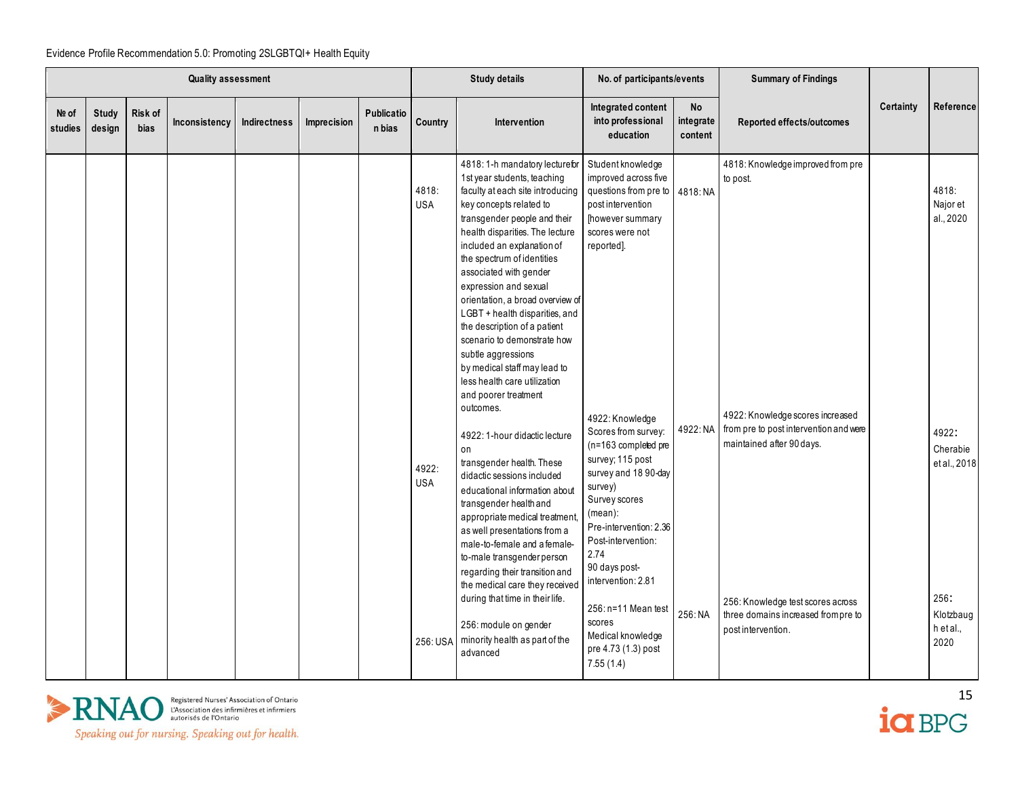|                  | <b>Quality assessment</b> |                        |               |                     | <b>Study details</b> |                      | No. of participants/events                 |                                                                                                                                                                                                                                                                                                                                                                                                                                                                                                                                                                                                                                                                                                                                                                                                                                                                                                                                                                                   | <b>Summary of Findings</b>                                                                                                                                                                                                                                                                                                                                                                                                          |                                   |                                                                                                                                                                                                                                      |           |                                                                                          |
|------------------|---------------------------|------------------------|---------------|---------------------|----------------------|----------------------|--------------------------------------------|-----------------------------------------------------------------------------------------------------------------------------------------------------------------------------------------------------------------------------------------------------------------------------------------------------------------------------------------------------------------------------------------------------------------------------------------------------------------------------------------------------------------------------------------------------------------------------------------------------------------------------------------------------------------------------------------------------------------------------------------------------------------------------------------------------------------------------------------------------------------------------------------------------------------------------------------------------------------------------------|-------------------------------------------------------------------------------------------------------------------------------------------------------------------------------------------------------------------------------------------------------------------------------------------------------------------------------------------------------------------------------------------------------------------------------------|-----------------------------------|--------------------------------------------------------------------------------------------------------------------------------------------------------------------------------------------------------------------------------------|-----------|------------------------------------------------------------------------------------------|
| Nº of<br>studies | Study<br>design           | Risk of<br><b>bias</b> | Inconsistency | <b>Indirectness</b> | Imprecision          | Publicatio<br>n bias | Country                                    | Intervention                                                                                                                                                                                                                                                                                                                                                                                                                                                                                                                                                                                                                                                                                                                                                                                                                                                                                                                                                                      | Integrated content<br>into professional<br>education                                                                                                                                                                                                                                                                                                                                                                                | <b>No</b><br>integrate<br>content | Reported effects/outcomes                                                                                                                                                                                                            | Certainty | Reference                                                                                |
|                  |                           |                        |               |                     |                      |                      | 4818:<br><b>USA</b><br>4922:<br><b>USA</b> | 4818:1-h mandatory lecturefor<br>1st year students, teaching<br>faculty at each site introducing<br>key concepts related to<br>transgender people and their<br>health disparities. The lecture<br>included an explanation of<br>the spectrum of identities<br>associated with gender<br>expression and sexual<br>orientation, a broad overview of<br>LGBT + health disparities, and<br>the description of a patient<br>scenario to demonstrate how<br>subtle aggressions<br>by medical staff may lead to<br>less health care utilization<br>and poorer treatment<br>outcomes.<br>4922: 1-hour didactic lecture<br>on<br>transgender health. These<br>didactic sessions included<br>educational information about<br>transgender health and<br>appropriate medical treatment,<br>as well presentations from a<br>male-to-female and a female-<br>to-male transgender person<br>regarding their transition and<br>the medical care they received<br>during that time in their life. | Student knowledge<br>improved across five<br>questions from pre to 4818: NA<br>post intervention<br>[however summary<br>scores were not<br>reported].<br>4922: Knowledge<br>Scores from survey:<br>(n=163 completed pre<br>survey; 115 post<br>survey and 18 90-day<br>survey)<br>Survey scores<br>$(mean)$ :<br>Pre-intervention: 2.36<br>Post-intervention:<br>2.74<br>90 days post-<br>intervention: 2.81<br>256: n=11 Mean test | 4922: NA<br>256: NA               | 4818: Knowledge improved from pre<br>to post.<br>4922: Knowledge scores increased<br>from pre to post intervention and were<br>maintained after 90 days.<br>256: Knowledge test scores across<br>three domains increased from pre to |           | 4818:<br>Najor et<br>al., 2020<br>4922:<br>Cherabie<br>et al., 2018<br>256:<br>Klotzbaug |
|                  |                           |                        |               |                     |                      |                      | 256: USA                                   | 256: module on gender<br>minority health as part of the<br>advanced                                                                                                                                                                                                                                                                                                                                                                                                                                                                                                                                                                                                                                                                                                                                                                                                                                                                                                               | scores<br>Medical knowledge<br>pre 4.73 (1.3) post<br>7.55(1.4)                                                                                                                                                                                                                                                                                                                                                                     |                                   | post intervention.                                                                                                                                                                                                                   |           | h et al.,<br>2020                                                                        |



 $\frac{15}{10}$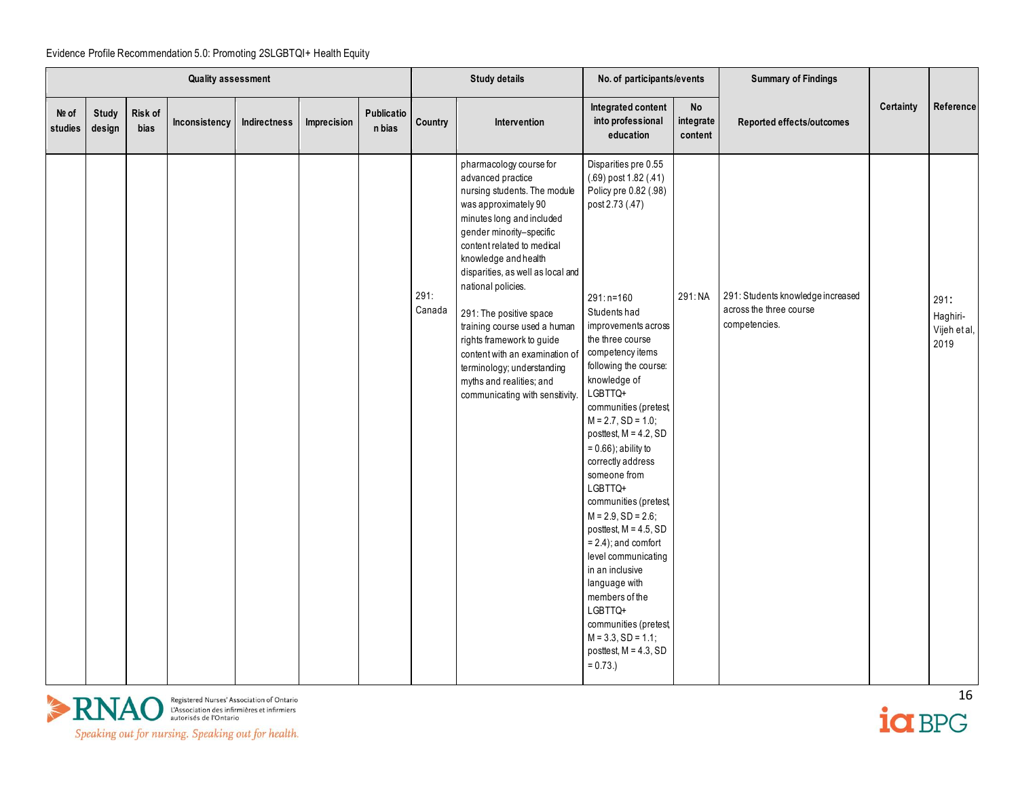|                  | <b>Quality assessment</b> |                 |               |              |             | <b>Study details</b> |                | No. of participants/events                                                                                                                                                                                                                                                                                                                                                                                                                                                                            |                                                                                                                                                                                                                                                                                                                                                                                                                                                                                                                                                                                                                                                                                                  | <b>Summary of Findings</b> |                                                                               |           |                                          |
|------------------|---------------------------|-----------------|---------------|--------------|-------------|----------------------|----------------|-------------------------------------------------------------------------------------------------------------------------------------------------------------------------------------------------------------------------------------------------------------------------------------------------------------------------------------------------------------------------------------------------------------------------------------------------------------------------------------------------------|--------------------------------------------------------------------------------------------------------------------------------------------------------------------------------------------------------------------------------------------------------------------------------------------------------------------------------------------------------------------------------------------------------------------------------------------------------------------------------------------------------------------------------------------------------------------------------------------------------------------------------------------------------------------------------------------------|----------------------------|-------------------------------------------------------------------------------|-----------|------------------------------------------|
| Nº of<br>studies | Study<br>design           | Risk of<br>bias | Inconsistency | Indirectness | Imprecision | Publicatio<br>n bias | Country        | <b>Intervention</b>                                                                                                                                                                                                                                                                                                                                                                                                                                                                                   | Integrated content<br>into professional<br>education                                                                                                                                                                                                                                                                                                                                                                                                                                                                                                                                                                                                                                             | No<br>integrate<br>content | Reported effects/outcomes                                                     | Certainty | Reference                                |
|                  |                           |                 |               |              |             |                      | 291:<br>Canada | pharmacology course for<br>advanced practice<br>nursing students. The module<br>was approximately 90<br>minutes long and included<br>gender minority-specific<br>content related to medical<br>knowledge and health<br>disparities, as well as local and<br>national policies.<br>291: The positive space<br>training course used a human<br>rights framework to guide<br>content with an examination of<br>terminology; understanding<br>myths and realities; and<br>communicating with sensitivity. | Disparities pre 0.55<br>(.69) post 1.82 (.41)<br>Policy pre 0.82 (.98)<br>post 2.73 (.47)<br>$291: n = 160$<br>Students had<br>improvements across<br>the three course<br>competency items<br>following the course:<br>knowledge of<br>LGBTTQ+<br>communities (pretest,<br>$M = 2.7$ , SD = 1.0;<br>posttest, $M = 4.2$ , SD<br>$= 0.66$ ); ability to<br>correctly address<br>someone from<br>LGBTTQ+<br>communities (pretest,<br>$M = 2.9$ , SD = 2.6;<br>posttest, $M = 4.5$ , SD<br>$= 2.4$ ; and comfort<br>level communicating<br>in an inclusive<br>language with<br>members of the<br>LGBTTQ+<br>communities (pretest,<br>$M = 3.3$ , SD = 1.1;<br>posttest, $M = 4.3$ , SD<br>$= 0.73.$ | 291:NA                     | 291: Students knowledge increased<br>across the three course<br>competencies. |           | 291:<br>Haghiri-<br>Vijeh et al,<br>2019 |



ia BPG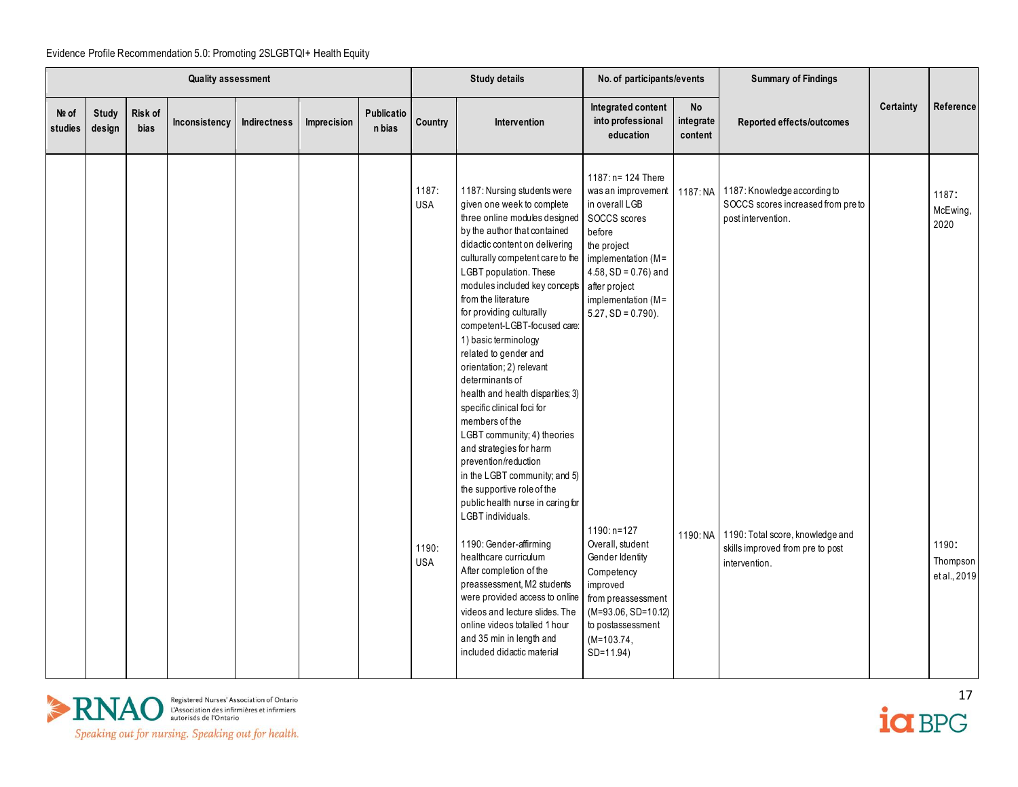| <b>Quality assessment</b> |                        |                 | <b>Study details</b> |                     | No. of participants/events |                      | <b>Summary of Findings</b>                 |                                                                                                                                                                                                                                                                                                                                                                                                                                                                                                                                                                                                                                                                                                                                                                                                                                                                                                                                                                                                                                  |                                                                                                                                                                                                                                                                                                                                                                                                            |                            |                                                                                                                                                                                                     |           |                                                                |
|---------------------------|------------------------|-----------------|----------------------|---------------------|----------------------------|----------------------|--------------------------------------------|----------------------------------------------------------------------------------------------------------------------------------------------------------------------------------------------------------------------------------------------------------------------------------------------------------------------------------------------------------------------------------------------------------------------------------------------------------------------------------------------------------------------------------------------------------------------------------------------------------------------------------------------------------------------------------------------------------------------------------------------------------------------------------------------------------------------------------------------------------------------------------------------------------------------------------------------------------------------------------------------------------------------------------|------------------------------------------------------------------------------------------------------------------------------------------------------------------------------------------------------------------------------------------------------------------------------------------------------------------------------------------------------------------------------------------------------------|----------------------------|-----------------------------------------------------------------------------------------------------------------------------------------------------------------------------------------------------|-----------|----------------------------------------------------------------|
| Nº of<br>studies          | <b>Study</b><br>design | Risk of<br>bias | Inconsistency        | <b>Indirectness</b> | Imprecision                | Publicatio<br>n bias | Country                                    | Intervention                                                                                                                                                                                                                                                                                                                                                                                                                                                                                                                                                                                                                                                                                                                                                                                                                                                                                                                                                                                                                     | Integrated content<br>into professional<br>education                                                                                                                                                                                                                                                                                                                                                       | No<br>integrate<br>content | Reported effects/outcomes                                                                                                                                                                           | Certainty | Reference                                                      |
|                           |                        |                 |                      |                     |                            |                      | 1187:<br><b>USA</b><br>1190:<br><b>USA</b> | 1187: Nursing students were<br>given one week to complete<br>three online modules designed<br>by the author that contained<br>didactic content on delivering<br>culturally competent care to the<br>LGBT population. These<br>modules included key concepts<br>from the literature<br>for providing culturally<br>competent-LGBT-focused care:<br>1) basic terminology<br>related to gender and<br>orientation; 2) relevant<br>determinants of<br>health and health disparities; 3)<br>specific clinical foci for<br>members of the<br>LGBT community; 4) theories<br>and strategies for harm<br>prevention/reduction<br>in the LGBT community; and 5)<br>the supportive role of the<br>public health nurse in caring for<br><b>LGBT</b> individuals.<br>1190: Gender-affirming<br>healthcare curriculum<br>After completion of the<br>preassessment, M2 students<br>were provided access to online<br>videos and lecture slides. The<br>online videos totalled 1 hour<br>and 35 min in length and<br>included didactic material | $1187: n = 124$ There<br>was an improvement<br>in overall LGB<br>SOCCS scores<br>before<br>the project<br>implementation (M=<br>$4.58$ , SD = 0.76) and<br>after project<br>implementation (M=<br>$5.27$ , SD = 0.790).<br>$1190: n=127$<br>Overall, student<br>Gender Identity<br>Competency<br>improved<br>from preassessment<br>$(M=93.06, SD=10.12)$<br>to postassessment<br>$(M=103.74)$<br>SD=11.94) |                            | 1187: NA 1187: Knowledge according to<br>SOCCS scores increased from pre to<br>post intervention.<br>1190: NA 1190: Total score, knowledge and<br>skills improved from pre to post<br>intervention. |           | 1187:<br>McEwing,<br>2020<br>1190:<br>Thompson<br>et al., 2019 |



 $\frac{17}{10}$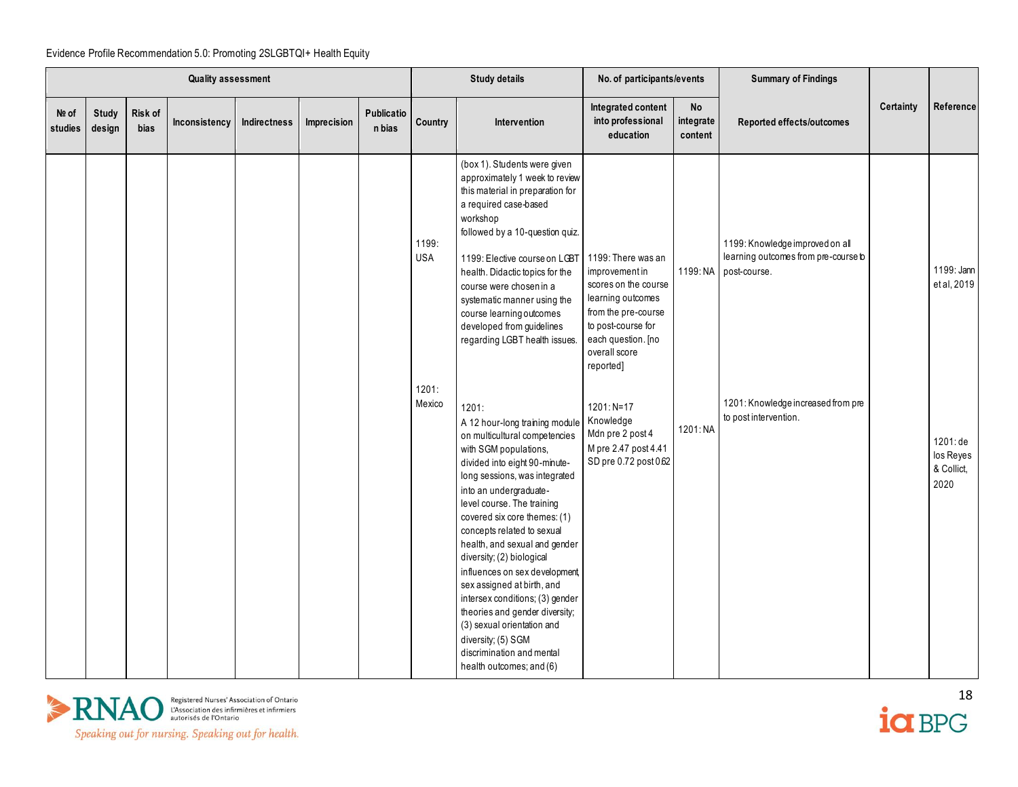|                  | <b>Quality assessment</b> |                 |               |              | <b>Study details</b> |                      | No. of participants/events |                                                                                                                                                                                                                                                                                                                                                                                                                                                                                                                                                                                                          | <b>Summary of Findings</b>                                                                                                                                                         |                            |                                                                                                 |           |                                             |
|------------------|---------------------------|-----------------|---------------|--------------|----------------------|----------------------|----------------------------|----------------------------------------------------------------------------------------------------------------------------------------------------------------------------------------------------------------------------------------------------------------------------------------------------------------------------------------------------------------------------------------------------------------------------------------------------------------------------------------------------------------------------------------------------------------------------------------------------------|------------------------------------------------------------------------------------------------------------------------------------------------------------------------------------|----------------------------|-------------------------------------------------------------------------------------------------|-----------|---------------------------------------------|
| Nº of<br>studies | <b>Study</b><br>design    | Risk of<br>bias | Inconsistency | Indirectness | Imprecision          | Publicatio<br>n bias | Country                    | <b>Intervention</b>                                                                                                                                                                                                                                                                                                                                                                                                                                                                                                                                                                                      | Integrated content<br>into professional<br>education                                                                                                                               | No<br>integrate<br>content | Reported effects/outcomes                                                                       | Certainty | Reference                                   |
|                  |                           |                 |               |              |                      |                      | 1199:<br><b>USA</b>        | (box 1). Students were given<br>approximately 1 week to review<br>this material in preparation for<br>a required case-based<br>workshop<br>followed by a 10-question quiz.<br>1199: Elective course on LGBT<br>health. Didactic topics for the<br>course were chosen in a<br>systematic manner using the<br>course learning outcomes<br>developed from guidelines<br>regarding LGBT health issues.                                                                                                                                                                                                       | 1199: There was an<br>improvement in<br>scores on the course<br>learning outcomes<br>from the pre-course<br>to post-course for<br>each question. [no<br>overall score<br>reported] |                            | 1199: Knowledge improved on all<br>learning outcomes from pre-course b<br>1199: NA post-course. |           | 1199: Jann<br>et al, 2019                   |
|                  |                           |                 |               |              |                      |                      | 1201:<br>Mexico            | 1201:<br>A 12 hour-long training module<br>on multicultural competencies<br>with SGM populations,<br>divided into eight 90-minute-<br>long sessions, was integrated<br>into an undergraduate-<br>level course. The training<br>covered six core themes: (1)<br>concepts related to sexual<br>health, and sexual and gender<br>diversity; (2) biological<br>influences on sex development<br>sex assigned at birth, and<br>intersex conditions; (3) gender<br>theories and gender diversity;<br>(3) sexual orientation and<br>diversity; (5) SGM<br>discrimination and mental<br>health outcomes; and (6) | $1201: N=17$<br>Knowledge<br>Mdn pre 2 post 4<br>M pre 2.47 post 4.41<br>SD pre 0.72 post 0.62                                                                                     | 1201: NA                   | 1201: Knowledge increased from pre<br>to post intervention.                                     |           | 1201: de<br>los Reyes<br>& Collict,<br>2020 |



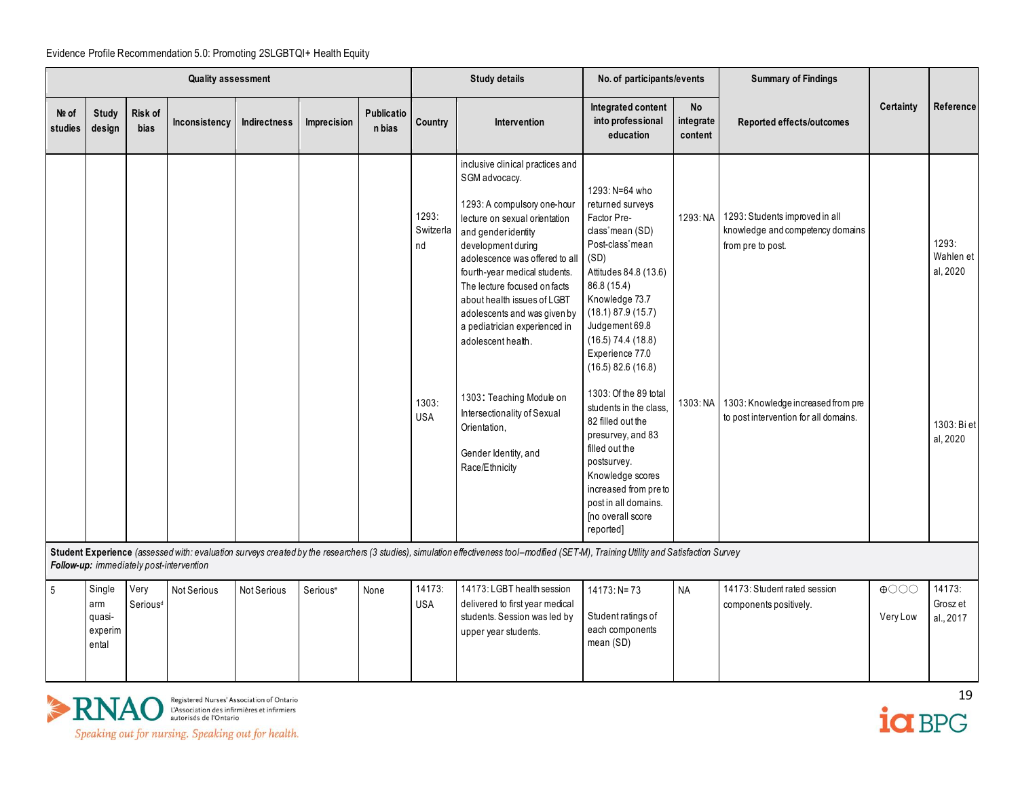|                  | <b>Quality assessment</b>                   |                               |                                          |                     | <b>Study details</b> |                      | No. of participants/events                      |                                                                                                                                                                                                                                                                                                                                                                                                                                                                                                              | <b>Summary of Findings</b>                                                                                                                                                                                                                                                                                                                                                                                                                                                                                    |                                   |                                                                                                                                                                                          |                                               |                                                           |
|------------------|---------------------------------------------|-------------------------------|------------------------------------------|---------------------|----------------------|----------------------|-------------------------------------------------|--------------------------------------------------------------------------------------------------------------------------------------------------------------------------------------------------------------------------------------------------------------------------------------------------------------------------------------------------------------------------------------------------------------------------------------------------------------------------------------------------------------|---------------------------------------------------------------------------------------------------------------------------------------------------------------------------------------------------------------------------------------------------------------------------------------------------------------------------------------------------------------------------------------------------------------------------------------------------------------------------------------------------------------|-----------------------------------|------------------------------------------------------------------------------------------------------------------------------------------------------------------------------------------|-----------------------------------------------|-----------------------------------------------------------|
| Nº of<br>studies | <b>Study</b><br>design                      | <b>Risk of</b><br><b>bias</b> | Inconsistency                            | <b>Indirectness</b> | Imprecision          | Publicatio<br>n bias | Country                                         | Intervention                                                                                                                                                                                                                                                                                                                                                                                                                                                                                                 | Integrated content<br>into professional<br>education                                                                                                                                                                                                                                                                                                                                                                                                                                                          | <b>No</b><br>integrate<br>content | Reported effects/outcomes                                                                                                                                                                | Certainty                                     | Reference                                                 |
|                  |                                             |                               |                                          |                     |                      |                      | 1293:<br>Switzerla<br>nd<br>1303:<br><b>USA</b> | inclusive clinical practices and<br>SGM advocacy.<br>1293: A compulsory one-hour<br>lecture on sexual orientation<br>and gender identity<br>development during<br>adolescence was offered to all<br>fourth-year medical students.<br>The lecture focused on facts<br>about health issues of LGBT<br>adolescents and was given by<br>a pediatrician experienced in<br>adolescent health.<br>1303: Teaching Module on<br>Intersectionality of Sexual<br>Orientation,<br>Gender Identity, and<br>Race/Ethnicity | 1293: N=64 who<br>returned surveys<br>Factor Pre-<br>class mean (SD)<br>Post-class mean<br>(SD)<br>Attitudes 84.8 (13.6)<br>86.8 (15.4)<br>Knowledge 73.7<br>(18.1) 87.9 (15.7)<br>Judgement 69.8<br>$(16.5)$ 74.4 $(18.8)$<br>Experience 77.0<br>$(16.5)$ 82.6 $(16.8)$<br>1303: Of the 89 total<br>students in the class.<br>82 filled out the<br>presurvey, and 83<br>filled out the<br>postsurvey.<br>Knowledge scores<br>increased from pre to<br>post in all domains.<br>[no overall score<br>reported] |                                   | 1293: NA 1293: Students improved in all<br>knowledge and competency domains<br>from pre to post.<br>1303: NA 1303: Knowledge increased from pre<br>to post intervention for all domains. |                                               | 1293:<br>Wahlen et<br>al, 2020<br>1303: Bi et<br>al, 2020 |
|                  |                                             |                               | Follow-up: immediately post-intervention |                     |                      |                      |                                                 | Student Experience (assessed with: evaluation surveys created by the researchers (3 studies), simulation effectiveness tool-modified (SET-M), Training Utility and Satisfaction Survey                                                                                                                                                                                                                                                                                                                       |                                                                                                                                                                                                                                                                                                                                                                                                                                                                                                               |                                   |                                                                                                                                                                                          |                                               |                                                           |
| 5                | Single<br>arm<br>quasi-<br>experim<br>ental | Very<br>Serious <sup>d</sup>  | Not Serious                              | Not Serious         | Serious <sup>e</sup> | None                 | 14173:<br><b>USA</b>                            | 14173: LGBT health session<br>delivered to first year medical<br>students. Session was led by<br>upper year students.                                                                                                                                                                                                                                                                                                                                                                                        | $14173: N = 73$<br>Student ratings of<br>each components<br>mean (SD)                                                                                                                                                                                                                                                                                                                                                                                                                                         | <b>NA</b>                         | 14173: Student rated session<br>components positively.                                                                                                                                   | $\bigoplus$ $\bigcirc$ $\bigcirc$<br>Very Low | 14173:<br>Grosz et<br>al., 2017                           |



Registered Nurses' Association of Ontario<br>L'Association des infirmières et infirmiers<br>autorisés de l'Ontario



Speaking out for nursing. Speaking out for health.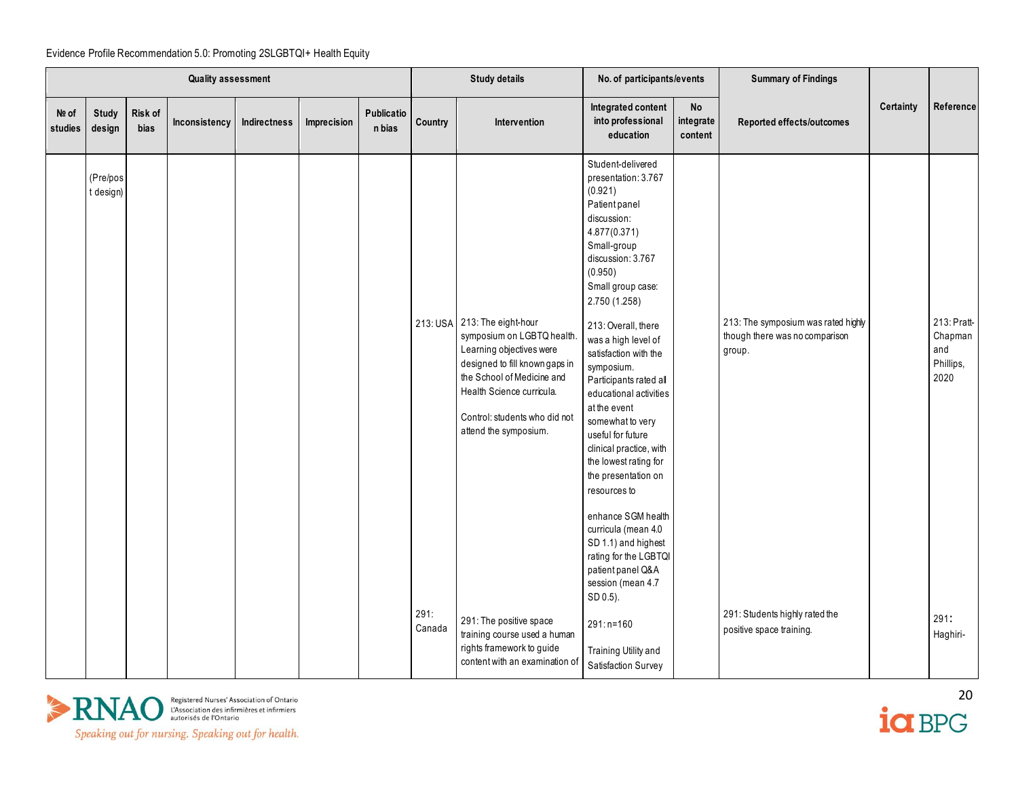|                  | <b>Quality assessment</b> |                 |               |              |             | <b>Study details</b> |                | No. of participants/events                                                                                                                                                                                                                    |                                                                                                                                                                                                                                                                                                                                                                                                                                                                                                             | <b>Summary of Findings</b>        |                                                                                 |           |                                                    |
|------------------|---------------------------|-----------------|---------------|--------------|-------------|----------------------|----------------|-----------------------------------------------------------------------------------------------------------------------------------------------------------------------------------------------------------------------------------------------|-------------------------------------------------------------------------------------------------------------------------------------------------------------------------------------------------------------------------------------------------------------------------------------------------------------------------------------------------------------------------------------------------------------------------------------------------------------------------------------------------------------|-----------------------------------|---------------------------------------------------------------------------------|-----------|----------------------------------------------------|
| Nº of<br>studies | <b>Study</b><br>design    | Risk of<br>bias | Inconsistency | Indirectness | Imprecision | Publicatio<br>n bias | Country        | Intervention                                                                                                                                                                                                                                  | Integrated content<br>into professional<br>education                                                                                                                                                                                                                                                                                                                                                                                                                                                        | <b>No</b><br>integrate<br>content | Reported effects/outcomes                                                       | Certainty | Reference                                          |
|                  | (Pre/pos<br>t design)     |                 |               |              |             |                      |                | 213: USA 213: The eight-hour<br>symposium on LGBTQ health.<br>Learning objectives were<br>designed to fill known gaps in<br>the School of Medicine and<br>Health Science curricula.<br>Control: students who did not<br>attend the symposium. | Student-delivered<br>presentation: 3.767<br>(0.921)<br>Patient panel<br>discussion:<br>4.877(0.371)<br>Small-group<br>discussion: 3.767<br>(0.950)<br>Small group case:<br>2.750 (1.258)<br>213: Overall, there<br>was a high level of<br>satisfaction with the<br>symposium.<br>Participants rated all<br>educational activities<br>at the event<br>somewhat to very<br>useful for future<br>clinical practice, with<br>the lowest rating for<br>the presentation on<br>resources to<br>enhance SGM health |                                   | 213: The symposium was rated highly<br>though there was no comparison<br>group. |           | 213: Pratt-<br>Chapman<br>and<br>Phillips,<br>2020 |
|                  |                           |                 |               |              |             |                      |                |                                                                                                                                                                                                                                               | curricula (mean 4.0<br>SD 1.1) and highest<br>rating for the LGBTQI<br>patient panel Q&A<br>session (mean 4.7<br>SD 0.5).                                                                                                                                                                                                                                                                                                                                                                                   |                                   |                                                                                 |           |                                                    |
|                  |                           |                 |               |              |             |                      | 291:<br>Canada | 291: The positive space<br>training course used a human<br>rights framework to guide<br>content with an examination of                                                                                                                        | 291:n=160<br>Training Utility and<br>Satisfaction Survey                                                                                                                                                                                                                                                                                                                                                                                                                                                    |                                   | 291: Students highly rated the<br>positive space training.                      |           | 291:<br>Haghiri-                                   |



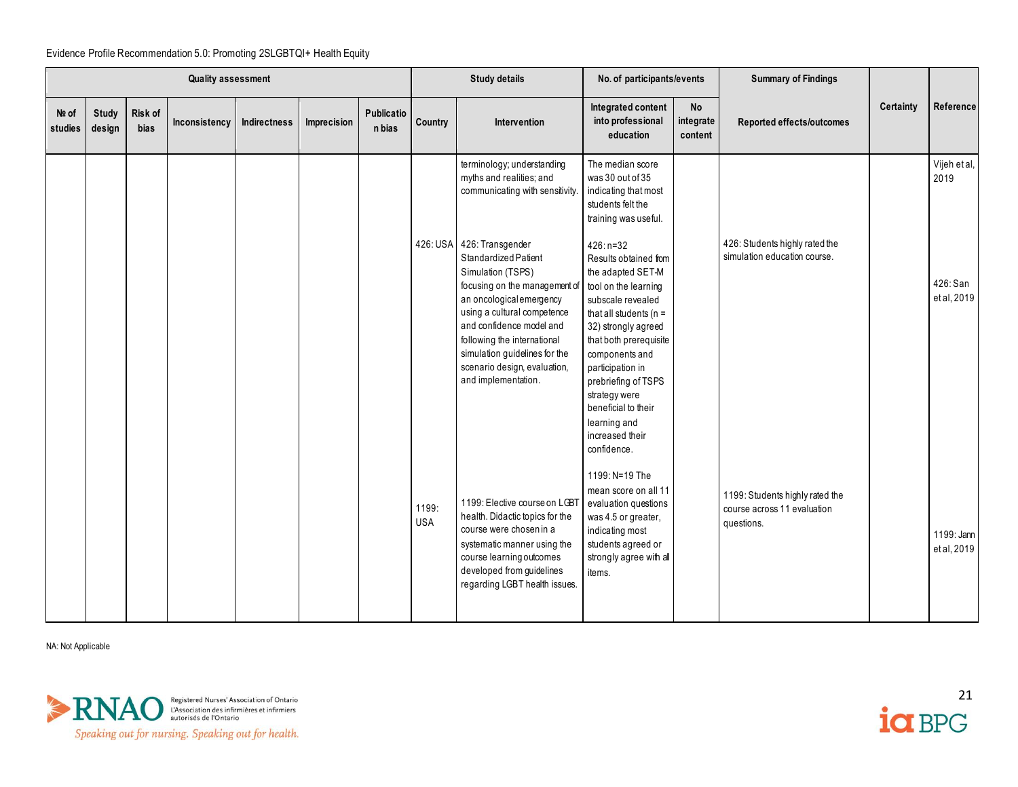|                  | <b>Quality assessment</b> |                 |               |              | <b>Study details</b> |                      | No. of participants/events |                                                                                                                                                                                                                                                                                                                       | <b>Summary of Findings</b>                                                                                                                                                                                                                                                                                                                  |                                   |                                                                              |           |                             |
|------------------|---------------------------|-----------------|---------------|--------------|----------------------|----------------------|----------------------------|-----------------------------------------------------------------------------------------------------------------------------------------------------------------------------------------------------------------------------------------------------------------------------------------------------------------------|---------------------------------------------------------------------------------------------------------------------------------------------------------------------------------------------------------------------------------------------------------------------------------------------------------------------------------------------|-----------------------------------|------------------------------------------------------------------------------|-----------|-----------------------------|
| Nº of<br>studies | Study<br>design           | Risk of<br>bias | Inconsistency | Indirectness | Imprecision          | Publicatio<br>n bias | Country                    | Intervention                                                                                                                                                                                                                                                                                                          | Integrated content<br>into professional<br>education                                                                                                                                                                                                                                                                                        | <b>No</b><br>integrate<br>content | Reported effects/outcomes                                                    | Certainty | Reference                   |
|                  |                           |                 |               |              |                      |                      |                            | terminology; understanding<br>myths and realities; and<br>communicating with sensitivity.                                                                                                                                                                                                                             | The median score<br>was 30 out of 35<br>indicating that most<br>students felt the<br>training was useful.                                                                                                                                                                                                                                   |                                   |                                                                              |           | Vijeh et al,<br>2019        |
|                  |                           |                 |               |              |                      |                      |                            | 426: USA 426: Transgender<br>Standardized Patient<br>Simulation (TSPS)<br>focusing on the management of<br>an oncological emergency<br>using a cultural competence<br>and confidence model and<br>following the international<br>simulation guidelines for the<br>scenario design, evaluation,<br>and implementation. | $426: n=32$<br>Results obtained from<br>the adapted SET-M<br>tool on the learning<br>subscale revealed<br>that all students ( $n =$<br>32) strongly agreed<br>that both prerequisite<br>components and<br>participation in<br>prebriefing of TSPS<br>strategy were<br>beneficial to their<br>learning and<br>increased their<br>confidence. |                                   | 426: Students highly rated the<br>simulation education course.               |           | 426: San<br>et al, 2019     |
|                  |                           |                 |               |              |                      |                      | 1199:<br><b>USA</b>        | 1199: Elective course on LGBT<br>health. Didactic topics for the<br>course were chosen in a<br>systematic manner using the<br>course learning outcomes<br>developed from guidelines<br>regarding LGBT health issues.                                                                                                  | 1199: N=19 The<br>mean score on all 11<br>evaluation questions<br>was 4.5 or greater,<br>indicating most<br>students agreed or<br>strongly agree with all<br>items.                                                                                                                                                                         |                                   | 1199: Students highly rated the<br>course across 11 evaluation<br>questions. |           | 1199: Jann<br>et al, $2019$ |

NA: Not Applicable

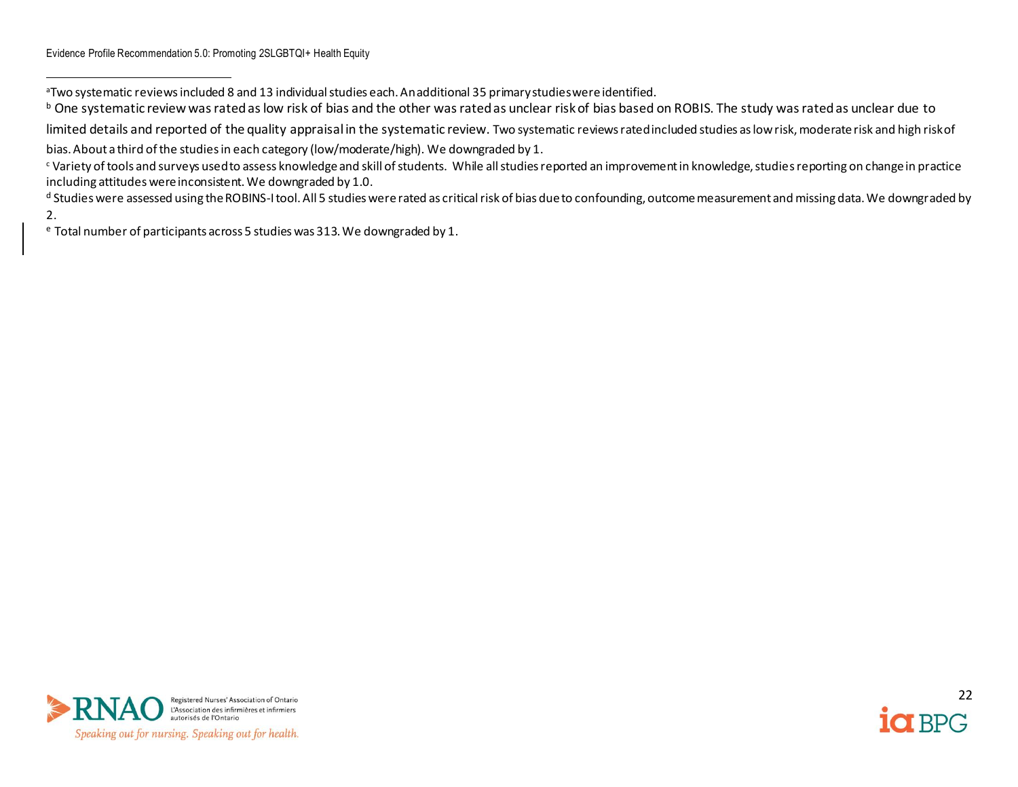<sup>d</sup> Studies were assessed using the ROBINS-I tool. All 5 studies were rated as critical risk of bias due to confounding, outcome measurement and missing data. We downgraded by 2.

<sup>e</sup> Total number of participants across 5 studies was 313. We downgraded by 1.



<sup>a</sup>Two systematic reviews included 8 and 13 individual studies each. An additional 35 primary studies were identified.

<sup>&</sup>lt;sup>b</sup> One systematic review was rated as low risk of bias and the other was rated as unclear risk of bias based on ROBIS. The study was rated as unclear due to

limited details and reported of the quality appraisal in the systematic review. Two systematic reviews rated included studies as low risk, moderate risk and high risk of bias. About a third of the studies in each category (low/moderate/high). We downgraded by 1.

<sup>c</sup> Variety of tools and surveys used to assess knowledge and skill of students. While all studies reported an improvement in knowledge, studies reporting on change in practice including attitudes were inconsistent. We downgraded by 1.0.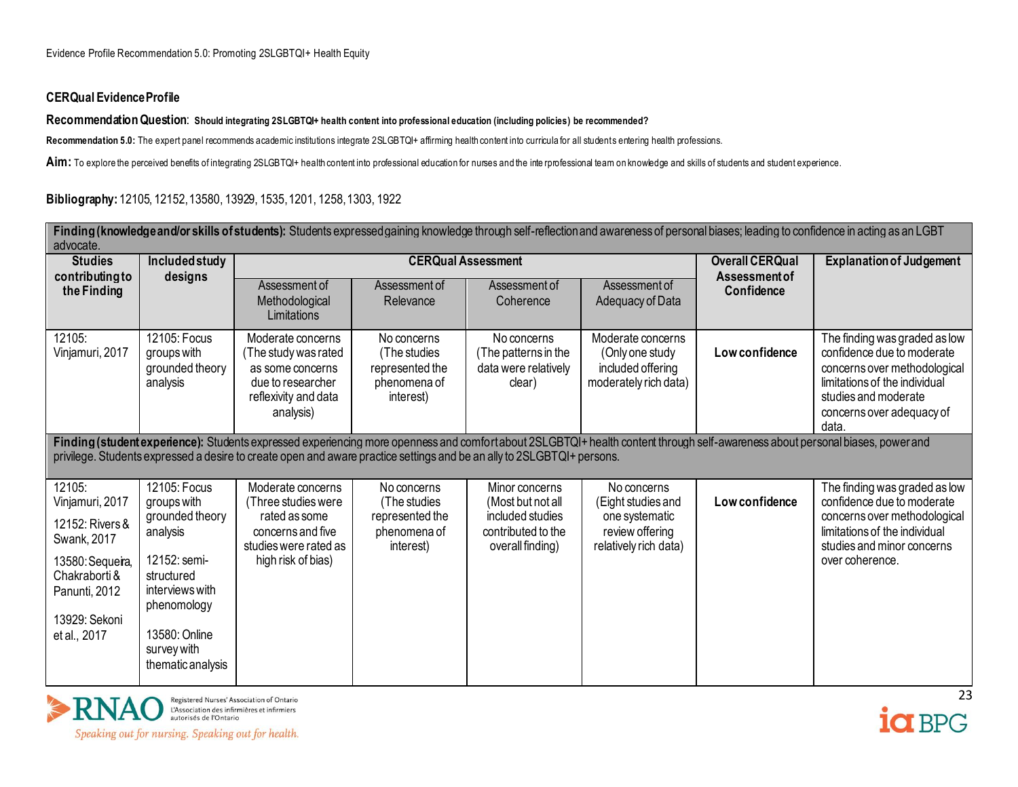## **CERQual Evidence Profile**

## **Recommendation Question**: **Should integrating 2SLGBTQI+ health content into professional education (including policies) be recommended?**

**Recommendation 5.0:** The expert panel recommends academic institutions integrate 2SLGBTQI+ affirming health content into curricula for all students entering health professions.

Aim: To explore the perceived benefits of integrating 2SLGBTQI+ health content into professional education for nurses and the interprofessional team on knowledge and skills of students and student experience.

**Bibliography:** 12105, 12152, 13580, 13929, 1535, 1201, 1258, 1303, 1922

| Finding (knowledge and/or skills of students): Students expressed gaining knowledge through self-reflection and awareness of personal biases; leading to confidence in acting as an LGBT<br>advocate.<br><b>CERQual Assessment</b> |                                                                                                                                                                                 |                                                                                                                               |                                                                             |                                                                                                   |                                                                                                 |                             |                                                                                                                                                                                            |  |  |  |  |  |
|------------------------------------------------------------------------------------------------------------------------------------------------------------------------------------------------------------------------------------|---------------------------------------------------------------------------------------------------------------------------------------------------------------------------------|-------------------------------------------------------------------------------------------------------------------------------|-----------------------------------------------------------------------------|---------------------------------------------------------------------------------------------------|-------------------------------------------------------------------------------------------------|-----------------------------|--------------------------------------------------------------------------------------------------------------------------------------------------------------------------------------------|--|--|--|--|--|
| <b>Studies</b>                                                                                                                                                                                                                     | Included study                                                                                                                                                                  |                                                                                                                               |                                                                             |                                                                                                   |                                                                                                 | <b>Overall CERQual</b>      | <b>Explanation of Judgement</b>                                                                                                                                                            |  |  |  |  |  |
| contributing to<br>the Finding                                                                                                                                                                                                     | designs                                                                                                                                                                         | Assessment of<br>Methodological<br>Limitations                                                                                | Assessment of<br>Relevance                                                  | Assessment of<br>Coherence                                                                        | Assessment of<br>Adequacy of Data                                                               | Assessment of<br>Confidence |                                                                                                                                                                                            |  |  |  |  |  |
| 12105:<br>Vinjamuri, 2017                                                                                                                                                                                                          | 12105: Focus<br>groups with<br>grounded theory<br>analysis                                                                                                                      | Moderate concerns<br>(The study was rated<br>as some concerns<br>due to researcher<br>reflexivity and data<br>analysis)       | No concerns<br>(The studies<br>represented the<br>phenomena of<br>interest) | No concerns<br>(The patterns in the<br>data were relatively<br>clear)                             | Moderate concerns<br>(Only one study<br>included offering<br>moderately rich data)              | Low confidence              | The finding was graded as low<br>confidence due to moderate<br>concerns over methodological<br>limitations of the individual<br>studies and moderate<br>concerns over adequacy of<br>data. |  |  |  |  |  |
|                                                                                                                                                                                                                                    |                                                                                                                                                                                 | privilege. Students expressed a desire to create open and aware practice settings and be an ally to 2SLGBTQI+ persons.        |                                                                             |                                                                                                   |                                                                                                 |                             | Finding (student experience): Students expressed experiencing more openness and comfortabout 2SLGBTQI+ health content through self-awareness about personal biases, power and              |  |  |  |  |  |
| 12105:<br>Vinjamuri, 2017<br>12152: Rivers &<br>Swank, 2017<br>13580: Sequeira,<br>Chakraborti &<br>Panunti, 2012<br>13929: Sekoni<br>et al., 2017                                                                                 | 12105: Focus<br>groups with<br>grounded theory<br>analysis<br>12152: semi-<br>structured<br>interviews with<br>phenomology<br>13580: Online<br>survey with<br>thematic analysis | Moderate concerns<br>(Three studies were<br>rated as some<br>concerns and five<br>studies were rated as<br>high risk of bias) | No concerns<br>(The studies<br>represented the<br>phenomena of<br>interest) | Minor concerns<br>(Most but not all<br>included studies<br>contributed to the<br>overall finding) | No concerns<br>(Eight studies and<br>one systematic<br>review offering<br>relatively rich data) | Low confidence              | The finding was graded as low<br>confidence due to moderate<br>concerns over methodological<br>limitations of the individual<br>studies and minor concerns<br>over coherence.              |  |  |  |  |  |



Registered Nurses' Association of Ontario<br>L'Association des infirmières et infirmiers<br>autorisés de l'Ontario Speaking out for nursing. Speaking out for health.